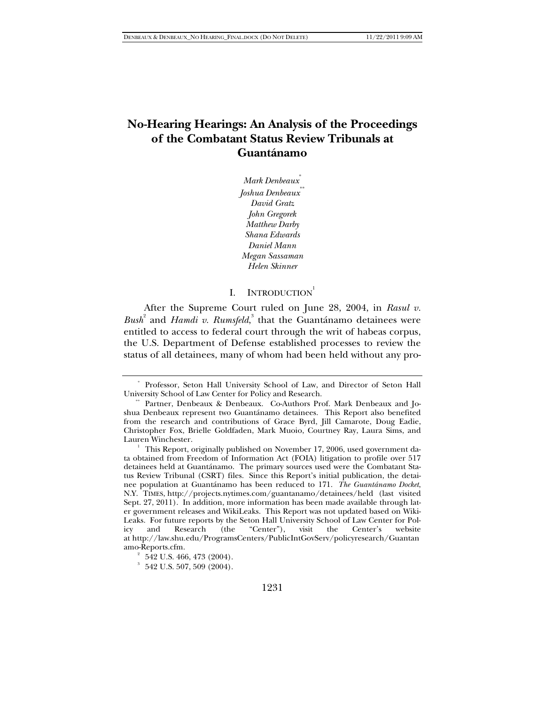# **No-Hearing Hearings: An Analysis of the Proceedings of the Combatant Status Review Tribunals at Guantánamo**

*Mark Denbeaux*\* *Joshua Denbeaux*\*\* *David Gratz John Gregorek Matthew Darby Shana Edwards Daniel Mann Megan Sassaman Helen Skinner* 

# I. INTRODUCTION<sup>1</sup>

After the Supreme Court ruled on June 28, 2004, in *Rasul v.*  Bush<sup>2</sup> and *Hamdi v. Rumsfeld*,<sup>3</sup> that the Guantánamo detainees were entitled to access to federal court through the writ of habeas corpus, the U.S. Department of Defense established processes to review the status of all detainees, many of whom had been held without any pro-

 <sup>\*</sup> Professor, Seton Hall University School of Law, and Director of Seton Hall University School of Law Center for Policy and Research.

Partner, Denbeaux & Denbeaux. Co-Authors Prof. Mark Denbeaux and Joshua Denbeaux represent two Guantánamo detainees. This Report also benefited from the research and contributions of Grace Byrd, Jill Camarote, Doug Eadie, Christopher Fox, Brielle Goldfaden, Mark Muoio, Courtney Ray, Laura Sims, and Lauren Winchester.

This Report, originally published on November 17, 2006, used government data obtained from Freedom of Information Act (FOIA) litigation to profile over 517 detainees held at Guantánamo. The primary sources used were the Combatant Status Review Tribunal (CSRT) files. Since this Report's initial publication, the detainee population at Guantánamo has been reduced to 171. *The Guantánamo Docket*, N.Y. TIMES, http://projects.nytimes.com/guantanamo/detainees/held (last visited Sept. 27, 2011). In addition, more information has been made available through later government releases and WikiLeaks. This Report was not updated based on Wiki-Leaks. For future reports by the Seton Hall University School of Law Center for Policy and Research (the "Center"), visit the Center's website at http://law.shu.edu/ProgramsCenters/PublicIntGovServ/policyresearch/Guantan amo-Reports.cfm. 2

 $2^{\circ}$  542 U.S. 466, 473 (2004).

 $3\,$  542 U.S. 507, 509 (2004).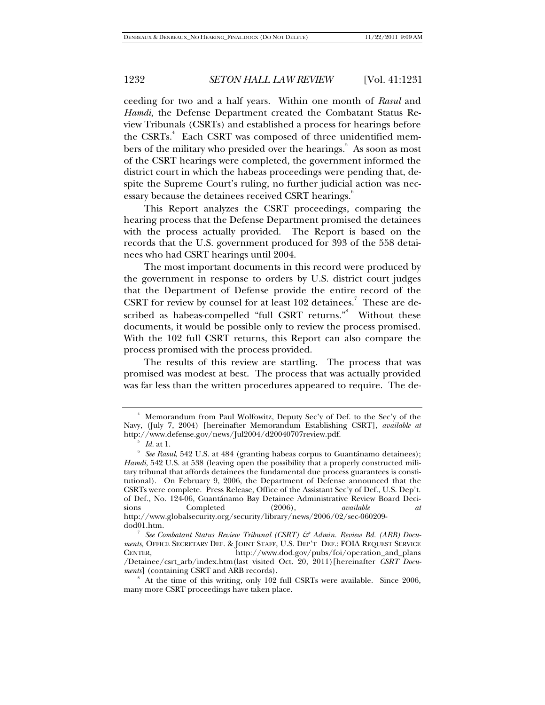ceeding for two and a half years. Within one month of *Rasul* and *Hamdi*, the Defense Department created the Combatant Status Review Tribunals (CSRTs) and established a process for hearings before the CSRTs.<sup>4</sup> Each CSRT was composed of three unidentified members of the military who presided over the hearings.<sup>5</sup> As soon as most of the CSRT hearings were completed, the government informed the district court in which the habeas proceedings were pending that, despite the Supreme Court's ruling, no further judicial action was necessary because the detainees received CSRT hearings.<sup>6</sup>

This Report analyzes the CSRT proceedings, comparing the hearing process that the Defense Department promised the detainees with the process actually provided. The Report is based on the records that the U.S. government produced for 393 of the 558 detainees who had CSRT hearings until 2004.

The most important documents in this record were produced by the government in response to orders by U.S. district court judges that the Department of Defense provide the entire record of the CSRT for review by counsel for at least 102 detainees.<sup>7</sup> These are described as habeas-compelled "full CSRT returns." Without these documents, it would be possible only to review the process promised. With the 102 full CSRT returns, this Report can also compare the process promised with the process provided.

The results of this review are startling. The process that was promised was modest at best. The process that was actually provided was far less than the written procedures appeared to require. The de-

<sup>4</sup> Memorandum from Paul Wolfowitz, Deputy Sec'y of Def. to the Sec'y of the Navy, (July 7, 2004) [hereinafter Memorandum Establishing CSRT], *available at*  http://www.defense.gov/news/Jul2004/d20040707review.pdf. 5

*Id.* at 1.

*See Rasul*, 542 U.S. at 484 (granting habeas corpus to Guantánamo detainees); *Hamdi*, 542 U.S. at 538 (leaving open the possibility that a properly constructed military tribunal that affords detainees the fundamental due process guarantees is constitutional). On February 9, 2006, the Department of Defense announced that the CSRTs were complete. Press Release, Office of the Assistant Sec'y of Def., U.S. Dep't. of Def., No. 124-06, Guantánamo Bay Detainee Administrative Review Board Decisions Completed (2006), *available at*  http://www.globalsecurity.org/security/library/news/2006/02/sec-060209 dod01.htm. 7

*See Combatant Status Review Tribunal (CSRT) & Admin. Review Bd. (ARB) Docu*ments, OFFICE SECRETARY DEF. & JOINT STAFF, U.S. DEP'T DEF.: FOIA REQUEST SERVICE<br>CENTER. http://www.dod.gov/pubs/foi/operation\_and\_plans http://www.dod.gov/pubs/foi/operation\_and\_plans /Detainee/csrt\_arb/index.htm(last visited Oct. 20, 2011)[hereinafter *CSRT Documents*] (containing CSRT and ARB records).

<sup>8</sup> At the time of this writing, only 102 full CSRTs were available. Since 2006, many more CSRT proceedings have taken place.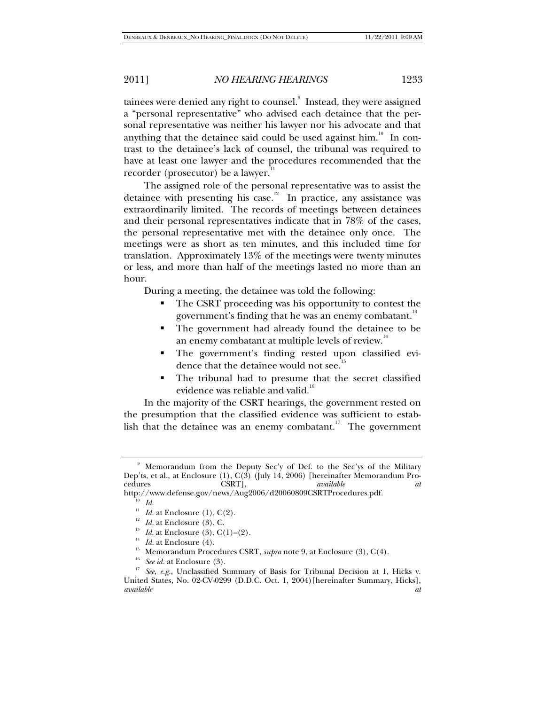tainees were denied any right to counsel.<sup>9</sup> Instead, they were assigned a "personal representative" who advised each detainee that the personal representative was neither his lawyer nor his advocate and that anything that the detainee said could be used against him.<sup>10</sup> In contrast to the detainee's lack of counsel, the tribunal was required to have at least one lawyer and the procedures recommended that the recorder (prosecutor) be a lawyer.<sup>1</sup>

The assigned role of the personal representative was to assist the detainee with presenting his case.<sup>12</sup> In practice, any assistance was extraordinarily limited. The records of meetings between detainees and their personal representatives indicate that in 78% of the cases, the personal representative met with the detainee only once. The meetings were as short as ten minutes, and this included time for translation. Approximately 13% of the meetings were twenty minutes or less, and more than half of the meetings lasted no more than an hour.

During a meeting, the detainee was told the following:

- The CSRT proceeding was his opportunity to contest the government's finding that he was an enemy combatant.<sup>13</sup>
- The government had already found the detainee to be an enemy combatant at multiple levels of review.<sup>14</sup>
- The government's finding rested upon classified evidence that the detainee would not see.<sup>15</sup>
- The tribunal had to presume that the secret classified evidence was reliable and valid.<sup>16</sup>

In the majority of the CSRT hearings, the government rested on the presumption that the classified evidence was sufficient to establish that the detainee was an enemy combatant.<sup>17</sup> The government

<sup>9</sup> Memorandum from the Deputy Sec'y of Def. to the Sec'ys of the Military Dep'ts, et al., at Enclosure (1), C(3) (July 14, 2006) [hereinafter Memorandum Pro-<br>cedures CSRT], *available at* cedures CSRT], *available at*

http://www.defense.gov/news/Aug2006/d20060809CSRTProcedures.pdf.<br>
<sup>10</sup> Id.<br>
<sup>11</sup> Id. at Enclosure (1), C(2).<br>
<sup>12</sup> Id. at Enclosure (3), C.<br>
<sup>13</sup> Id. at Enclosure (3), C(1)–(2).<br>
<sup>14</sup> Id. at Enclosure (4).<br>
<sup>15</sup> Memorandu

United States, No. 02-CV-0299 (D.D.C. Oct. 1, 2004)[hereinafter Summary, Hicks], *available at*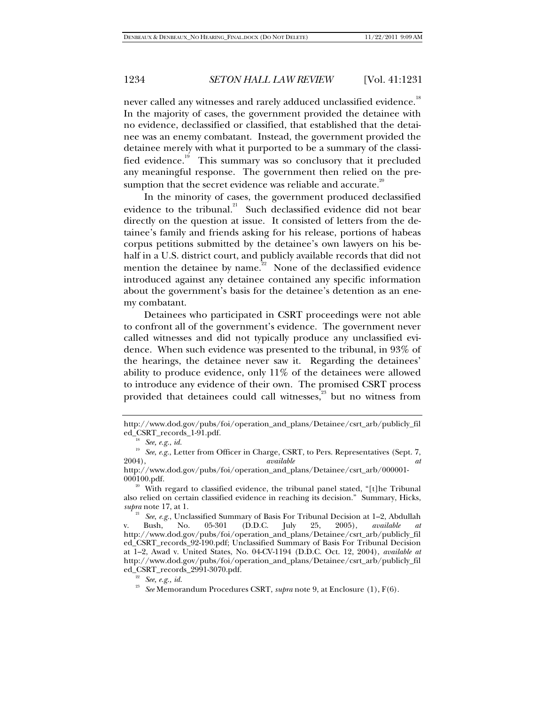never called any witnesses and rarely adduced unclassified evidence.<sup>18</sup> In the majority of cases, the government provided the detainee with no evidence, declassified or classified, that established that the detainee was an enemy combatant. Instead, the government provided the detainee merely with what it purported to be a summary of the classified evidence.<sup>19</sup> This summary was so conclusory that it precluded any meaningful response. The government then relied on the presumption that the secret evidence was reliable and accurate. $20$ 

In the minority of cases, the government produced declassified evidence to the tribunal. $^{21}$  Such declassified evidence did not bear directly on the question at issue. It consisted of letters from the detainee's family and friends asking for his release, portions of habeas corpus petitions submitted by the detainee's own lawyers on his behalf in a U.S. district court, and publicly available records that did not mention the detainee by name.<sup>22</sup> None of the declassified evidence introduced against any detainee contained any specific information about the government's basis for the detainee's detention as an enemy combatant.

Detainees who participated in CSRT proceedings were not able to confront all of the government's evidence. The government never called witnesses and did not typically produce any unclassified evidence. When such evidence was presented to the tribunal, in 93% of the hearings, the detainee never saw it. Regarding the detainees' ability to produce evidence, only 11% of the detainees were allowed to introduce any evidence of their own. The promised CSRT process provided that detainees could call witnesses, $33$  but no witness from

http://www.dod.gov/pubs/foi/operation\_and\_plans/Detainee/csrt\_arb/publicly\_fil ed\_CSRT\_records\_1-91.pdf. 18 *See, e.g.*, *id.*

<sup>&</sup>lt;sup>19</sup> See, e.g., Letter from Officer in Charge, CSRT, to Pers. Representatives (Sept. 7, 2004), at 2004), *available at* 

http://www.dod.gov/pubs/foi/operation\_and\_plans/Detainee/csrt\_arb/000001-

<sup>&</sup>lt;sup>20</sup> With regard to classified evidence, the tribunal panel stated, "[t]he Tribunal also relied on certain classified evidence in reaching its decision." Summary, Hicks, *supra* note 17, at 1. 21 *See*, *e.g.*, Unclassified Summary of Basis For Tribunal Decision at 1–2, Abdullah

v. Bush, No. 05-301 (D.D.C. July 25, 2005), *available at* http://www.dod.gov/pubs/foi/operation\_and\_plans/Detainee/csrt\_arb/publicly\_fil ed\_CSRT\_records\_92-190.pdf; Unclassified Summary of Basis For Tribunal Decision at 1–2, Awad v. United States, No. 04-CV-1194 (D.D.C. Oct. 12, 2004), *available at*  http://www.dod.gov/pubs/foi/operation\_and\_plans/Detainee/csrt\_arb/publicly\_fil ed\_CSRT\_records\_2991-3070.pdf. 22 *See, e.g., id.*

<sup>23</sup> *See* Memorandum Procedures CSRT, *supra* note 9, at Enclosure (1), F(6).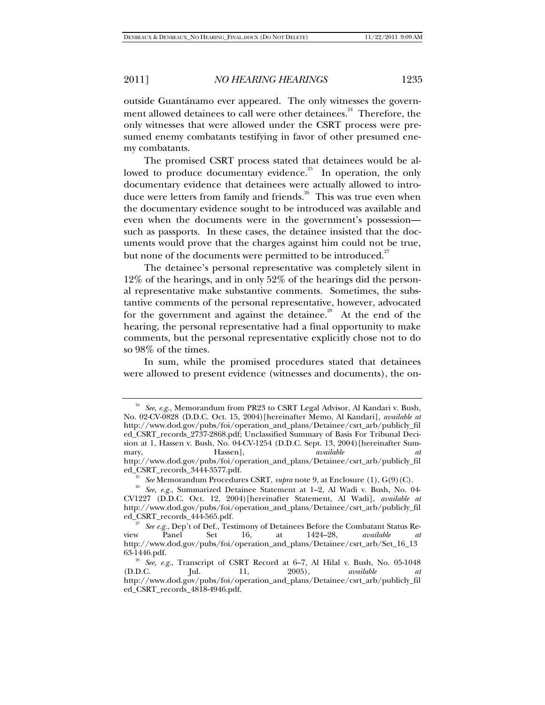outside Guantánamo ever appeared. The only witnesses the government allowed detainees to call were other detainees.<sup>24</sup> Therefore, the only witnesses that were allowed under the CSRT process were presumed enemy combatants testifying in favor of other presumed enemy combatants.

The promised CSRT process stated that detainees would be allowed to produce documentary evidence.<sup>25</sup> In operation, the only documentary evidence that detainees were actually allowed to introduce were letters from family and friends.<sup>26</sup> This was true even when the documentary evidence sought to be introduced was available and even when the documents were in the government's possession such as passports. In these cases, the detainee insisted that the documents would prove that the charges against him could not be true, but none of the documents were permitted to be introduced.<sup>27</sup>

The detainee's personal representative was completely silent in 12% of the hearings, and in only 52% of the hearings did the personal representative make substantive comments. Sometimes, the substantive comments of the personal representative, however, advocated for the government and against the detainee.<sup>28</sup> At the end of the hearing, the personal representative had a final opportunity to make comments, but the personal representative explicitly chose not to do so 98% of the times.

In sum, while the promised procedures stated that detainees were allowed to present evidence (witnesses and documents), the on-

<sup>24</sup> *See*, *e.g.*, Memorandum from PR23 to CSRT Legal Advisor, Al Kandari v. Bush, No. 02-CV-0828 (D.D.C. Oct. 15, 2004)[hereinafter Memo, Al Kandari], *available at*  http://www.dod.gov/pubs/foi/operation\_and\_plans/Detainee/csrt\_arb/publicly\_fil ed\_CSRT\_records\_2737-2868.pdf; Unclassified Summary of Basis For Tribunal Decision at 1, Hassen v. Bush, No. 04-CV-1254 (D.D.C. Sept. 13, 2004)[hereinafter Summary, Hassen], *available at*

http://www.dod.gov/pubs/foi/operation\_and\_plans/Detainee/csrt\_arb/publicly\_fil

<sup>&</sup>lt;sup>25</sup> *See* Memorandum Procedures CSRT, *supra* note 9, at Enclosure (1), G(9)(C). <sup>26</sup> *See, e.g.*, Summarized Detainee Statement at 1–2, Al Wadi v. Bush, No. 04-CV1227 (D.D.C. Oct. 12, 2004)[hereinafter Statement, Al Wadi], *available at*  http://www.dod.gov/pubs/foi/operation\_and\_plans/Detainee/csrt\_arb/publicly\_fil

ed\_CSRT\_records\_444-565.pdf.<br><sup>27</sup> *See e.g.*, Dep't of Def., Testimony of Detainees Before the Combatant Status Review Panel Set 16, at 1424–28, *available at*  http://www.dod.gov/pubs/foi/operation\_and\_plans/Detainee/csrt\_arb/Set\_16\_13

<sup>63-1446.</sup>pdf.<br><sup>28</sup> See, e.g., Transcript of CSRT Record at 6–7, Al Hilal v. Bush, No. 05-1048<br>(D.D.C. Jul. 11, 2005), *available at* (D.D.C. Jul. 11, 2005), *available at* http://www.dod.gov/pubs/foi/operation\_and\_plans/Detainee/csrt\_arb/publicly\_fil ed\_CSRT\_records\_4818-4946.pdf.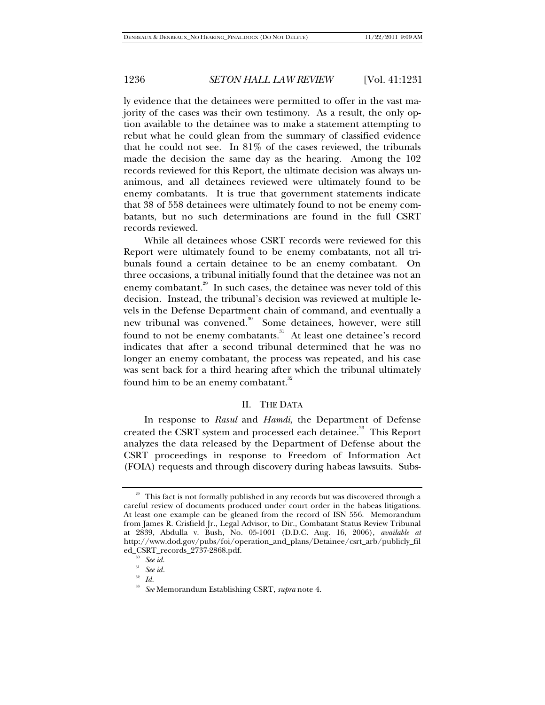ly evidence that the detainees were permitted to offer in the vast majority of the cases was their own testimony. As a result, the only option available to the detainee was to make a statement attempting to rebut what he could glean from the summary of classified evidence that he could not see. In 81% of the cases reviewed, the tribunals made the decision the same day as the hearing. Among the 102 records reviewed for this Report, the ultimate decision was always unanimous, and all detainees reviewed were ultimately found to be enemy combatants. It is true that government statements indicate that 38 of 558 detainees were ultimately found to not be enemy combatants, but no such determinations are found in the full CSRT records reviewed.

While all detainees whose CSRT records were reviewed for this Report were ultimately found to be enemy combatants, not all tribunals found a certain detainee to be an enemy combatant. On three occasions, a tribunal initially found that the detainee was not an enemy combatant.<sup>29</sup> In such cases, the detainee was never told of this decision. Instead, the tribunal's decision was reviewed at multiple levels in the Defense Department chain of command, and eventually a new tribunal was convened.<sup>30</sup> Some detainees, however, were still found to not be enemy combatants.<sup>31</sup> At least one detainee's record indicates that after a second tribunal determined that he was no longer an enemy combatant, the process was repeated, and his case was sent back for a third hearing after which the tribunal ultimately found him to be an enemy combatant.<sup>32</sup>

# II. THE DATA

In response to *Rasul* and *Hamdi*, the Department of Defense created the CSRT system and processed each detainee.<sup>33</sup> This Report analyzes the data released by the Department of Defense about the CSRT proceedings in response to Freedom of Information Act (FOIA) requests and through discovery during habeas lawsuits. Subs-

<sup>&</sup>lt;sup>29</sup> This fact is not formally published in any records but was discovered through a careful review of documents produced under court order in the habeas litigations. At least one example can be gleaned from the record of ISN 556. Memorandum from James R. Crisfield Jr., Legal Advisor, to Dir., Combatant Status Review Tribunal at 2839, Abdulla v. Bush, No. 05-1001 (D.D.C. Aug. 16, 2006), *available at* http://www.dod.gov/pubs/foi/operation\_and\_plans/Detainee/csrt\_arb/publicly\_fil ed\_CSRT\_records\_2737-2868.pdf. 30 *See id*. 31 *See id.*

<sup>32</sup> *Id.*

<sup>33</sup> *See* Memorandum Establishing CSRT, *supra* note 4.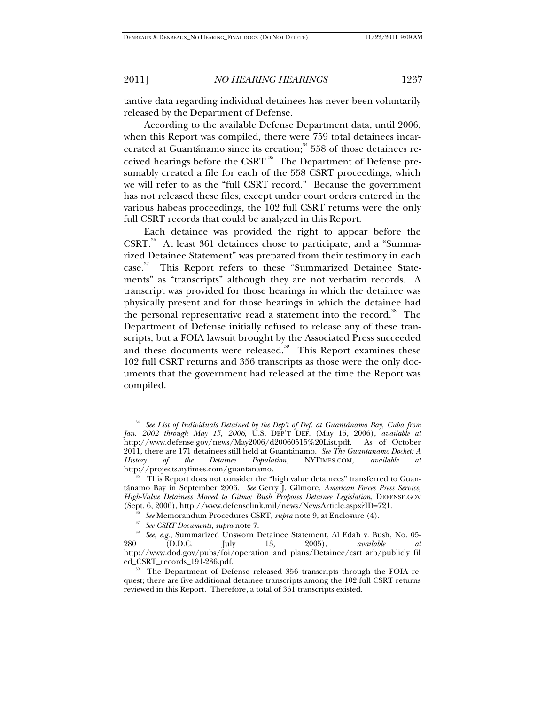tantive data regarding individual detainees has never been voluntarily released by the Department of Defense.

According to the available Defense Department data, until 2006, when this Report was compiled, there were 759 total detainees incarcerated at Guantánamo since its creation; $34\overline{558}$  of those detainees received hearings before the CSRT. $^{35}$  The Department of Defense presumably created a file for each of the 558 CSRT proceedings, which we will refer to as the "full CSRT record." Because the government has not released these files, except under court orders entered in the various habeas proceedings, the 102 full CSRT returns were the only full CSRT records that could be analyzed in this Report.

Each detainee was provided the right to appear before the CSRT.<sup>36</sup> At least 361 detainees chose to participate, and a "Summarized Detainee Statement" was prepared from their testimony in each case.<sup>37</sup> This Report refers to these "Summarized Detainee Statements" as "transcripts" although they are not verbatim records. A transcript was provided for those hearings in which the detainee was physically present and for those hearings in which the detainee had the personal representative read a statement into the record.<sup>38</sup> The Department of Defense initially refused to release any of these transcripts, but a FOIA lawsuit brought by the Associated Press succeeded and these documents were released.<sup>39</sup> This Report examines these 102 full CSRT returns and 356 transcripts as those were the only documents that the government had released at the time the Report was compiled.

<sup>&</sup>lt;sup>34</sup> See List of Individuals Detained by the Dep't of Def. at Guantánamo Bay, Cuba from *Jan. 2002 through May 15, 2006*, U.S. DEP'T DEF. (May 15, 2006), *available at*  http://www.defense.gov/news/May2006/d20060515%20List.pdf. As of October 2011, there are 171 detainees still held at Guantánamo. *See The Guantanamo Docket: A*  History of the Detainee Population, NYTIMES.COM, available http://projects.nytimes.com/guantanamo. 35 This Report does not consider the "high value detainees" transferred to Guan-

tánamo Bay in September 2006. *See* Gerry J. Gilmore, *American Forces Press Service*, *High-Value Detainees Moved to Gitmo; Bush Proposes Detainee Legislation*, DEFENSE.GOV (Sept. 6, 2006), http://www.defenselink.mil/news/NewsArticle.aspx?ID=721.<br>
<sup>36</sup> See Memorandum Procedures CSRT, *supra* note 9, at Enclosure (4).<br>
<sup>37</sup> See CSRT Documents, *supra* note 7.<br>
<sup>38</sup> See, e.g., Summarized Unswo

<sup>280 (</sup>D.D.C. July 13, 2005), *available at* http://www.dod.gov/pubs/foi/operation\_and\_plans/Detainee/csrt\_arb/publicly\_fil

ed\_CSRT\_records\_191-236.pdf. 39<br>39 The Department of Defense released 356 transcripts through the FOIA request; there are five additional detainee transcripts among the 102 full CSRT returns reviewed in this Report. Therefore, a total of 361 transcripts existed.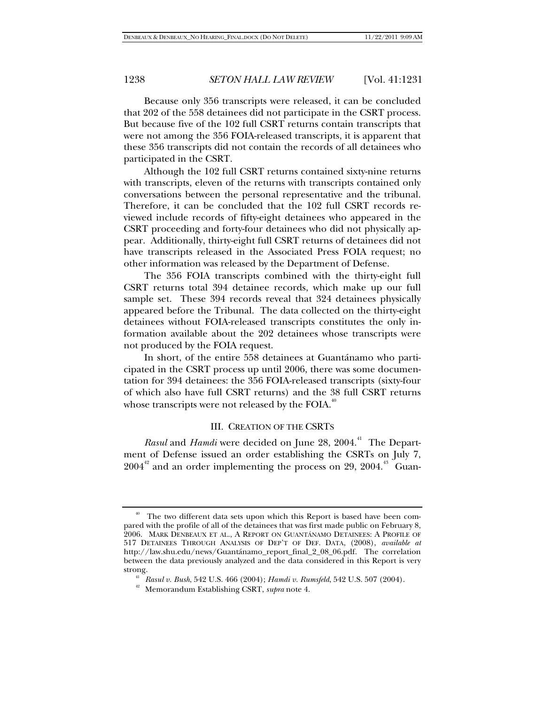Because only 356 transcripts were released, it can be concluded that 202 of the 558 detainees did not participate in the CSRT process. But because five of the 102 full CSRT returns contain transcripts that were not among the 356 FOIA-released transcripts, it is apparent that these 356 transcripts did not contain the records of all detainees who participated in the CSRT.

Although the 102 full CSRT returns contained sixty-nine returns with transcripts, eleven of the returns with transcripts contained only conversations between the personal representative and the tribunal. Therefore, it can be concluded that the 102 full CSRT records reviewed include records of fifty-eight detainees who appeared in the CSRT proceeding and forty-four detainees who did not physically appear. Additionally, thirty-eight full CSRT returns of detainees did not have transcripts released in the Associated Press FOIA request; no other information was released by the Department of Defense.

The 356 FOIA transcripts combined with the thirty-eight full CSRT returns total 394 detainee records, which make up our full sample set. These 394 records reveal that 324 detainees physically appeared before the Tribunal. The data collected on the thirty-eight detainees without FOIA-released transcripts constitutes the only information available about the 202 detainees whose transcripts were not produced by the FOIA request.

In short, of the entire 558 detainees at Guantánamo who participated in the CSRT process up until 2006, there was some documentation for 394 detainees: the 356 FOIA-released transcripts (sixty-four of which also have full CSRT returns) and the 38 full CSRT returns whose transcripts were not released by the FOIA. $40^{\circ}$ 

### III. CREATION OF THE CSRTS

*Rasul* and *Hamdi* were decided on June 28, 2004.<sup>41</sup> The Department of Defense issued an order establishing the CSRTs on July 7,  $2004<sup>42</sup>$  and an order implementing the process on 29, 2004.<sup>43</sup> Guan-

The two different data sets upon which this Report is based have been compared with the profile of all of the detainees that was first made public on February 8, 2006. MARK DENBEAUX ET AL., A REPORT ON GUANTÁNAMO DETAINEES: A PROFILE OF 517 DETAINEES THROUGH ANALYSIS OF DEP'T OF DEF. DATA, (2008), *available at*  http://law.shu.edu/news/Guantánamo\_report\_final\_2\_08\_06.pdf. The correlation between the data previously analyzed and the data considered in this Report is very

strong. 41 *Rasul v. Bush*, 542 U.S. 466 (2004); *Hamdi v. Rumsfeld*, 542 U.S. 507 (2004). 42 Memorandum Establishing CSRT, *supra* note 4.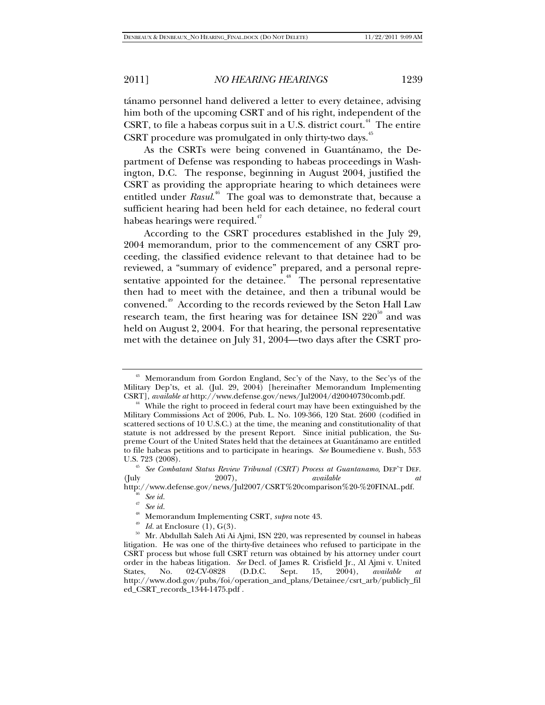tánamo personnel hand delivered a letter to every detainee, advising him both of the upcoming CSRT and of his right, independent of the CSRT, to file a habeas corpus suit in a U.S. district court.<sup>44</sup> The entire CSRT procedure was promulgated in only thirty-two days.<sup>45</sup>

As the CSRTs were being convened in Guantánamo, the Department of Defense was responding to habeas proceedings in Washington, D.C. The response, beginning in August 2004, justified the CSRT as providing the appropriate hearing to which detainees were entitled under *Rasul*.<sup>46</sup> The goal was to demonstrate that, because a sufficient hearing had been held for each detainee, no federal court habeas hearings were required.<sup>47</sup>

According to the CSRT procedures established in the July 29, 2004 memorandum, prior to the commencement of any CSRT proceeding, the classified evidence relevant to that detainee had to be reviewed, a "summary of evidence" prepared, and a personal representative appointed for the detainee.<sup>48</sup> The personal representative then had to meet with the detainee, and then a tribunal would be convened.49 According to the records reviewed by the Seton Hall Law research team, the first hearing was for detainee ISN  $220^{\circ}$  and was held on August 2, 2004. For that hearing, the personal representative met with the detainee on July 31, 2004—two days after the CSRT pro-

<sup>&</sup>lt;sup>43</sup> Memorandum from Gordon England, Sec'y of the Navy, to the Sec'ys of the Military Dep'ts, et al. (Jul. 29, 2004) [hereinafter Memorandum Implementing CSRT], *available at* http://www.defense.gov/news/Jul2004/d20040730comb.pdf.

<sup>&</sup>lt;sup>44</sup> While the right to proceed in federal court may have been extinguished by the Military Commissions Act of 2006, Pub. L. No. 109-366, 120 Stat. 2600 (codified in scattered sections of 10 U.S.C.) at the time, the meaning and constitutionality of that statute is not addressed by the present Report. Since initial publication, the Supreme Court of the United States held that the detainees at Guantánamo are entitled to file habeas petitions and to participate in hearings. *See* Boumediene v. Bush, 553

U.S. 723 (2008). 45 *See Combatant Status Review Tribunal (CSRT) Process at Guantanamo*, DEP'T DEF. (July 2007), *available at*

http://www.defense.gov/news/Jul2007/CSRT%20comparison%20-%20FINAL.pdf. 46 *See id.*<sup>47</sup> *See id.*

<sup>&</sup>lt;sup>48</sup> Memorandum Implementing CSRT, *supra* note 43.<br><sup>49</sup> Id. at Enclosure (1), G(3).<br><sup>50</sup> Mr. Abdullah Saleh Ati Ai Ajmi, ISN 220, was represented by counsel in habeas litigation. He was one of the thirty-five detainees who refused to participate in the CSRT process but whose full CSRT return was obtained by his attorney under court order in the habeas litigation. *See* Decl. of James R. Crisfield Jr., Al Ajmi v. United States, No. 02-CV-0828 (D.D.C. Sept. 15, 2004), *available at* http://www.dod.gov/pubs/foi/operation\_and\_plans/Detainee/csrt\_arb/publicly\_fil ed\_CSRT\_records\_1344-1475.pdf .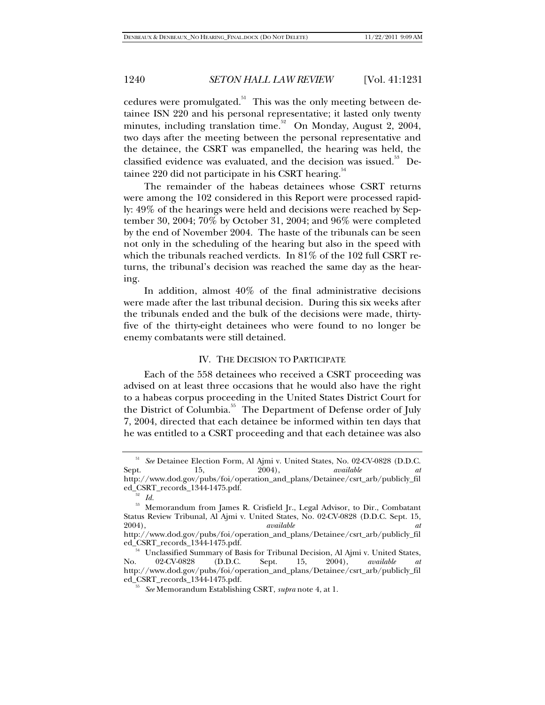cedures were promulgated. $51$  This was the only meeting between detainee ISN 220 and his personal representative; it lasted only twenty minutes, including translation time.<sup>52</sup> On Monday, August 2, 2004, two days after the meeting between the personal representative and the detainee, the CSRT was empanelled, the hearing was held, the classified evidence was evaluated, and the decision was issued.<sup>53</sup> Detainee 220 did not participate in his CSRT hearing. $54$ 

The remainder of the habeas detainees whose CSRT returns were among the 102 considered in this Report were processed rapidly: 49% of the hearings were held and decisions were reached by September 30, 2004; 70% by October 31, 2004; and 96% were completed by the end of November 2004. The haste of the tribunals can be seen not only in the scheduling of the hearing but also in the speed with which the tribunals reached verdicts. In 81% of the 102 full CSRT returns, the tribunal's decision was reached the same day as the hearing.

In addition, almost 40% of the final administrative decisions were made after the last tribunal decision. During this six weeks after the tribunals ended and the bulk of the decisions were made, thirtyfive of the thirty-eight detainees who were found to no longer be enemy combatants were still detained.

### IV. THE DECISION TO PARTICIPATE

Each of the 558 detainees who received a CSRT proceeding was advised on at least three occasions that he would also have the right to a habeas corpus proceeding in the United States District Court for the District of Columbia.<sup>55</sup> The Department of Defense order of July 7, 2004, directed that each detainee be informed within ten days that he was entitled to a CSRT proceeding and that each detainee was also

See Detainee Election Form, Al Ajmi v. United States, No. 02-CV-0828 (D.D.C.<br>15, 2004), *available at* Sept. 15, 2004), *available at* http://www.dod.gov/pubs/foi/operation\_and\_plans/Detainee/csrt\_arb/publicly\_fil

ed\_CSRT\_records\_1344-1475.pdf.<br><sup>52</sup> *Id.* 53 Memorandum from James R. Crisfield Jr., Legal Advisor, to Dir., Combatant Status Review Tribunal, Al Ajmi v. United States, No. 02-CV-0828 (D.D.C. Sept. 15, 2004), *available at*

http://www.dod.gov/pubs/foi/operation\_and\_plans/Detainee/csrt\_arb/publicly\_fil

Unclassified Summary of Basis for Tribunal Decision, Al Ajmi v. United States,<br>02-CV-0828 (D.D.C. Sept. 15, 2004), available at No. 02-CV-0828 (D.D.C. Sept. 15, 2004), *available at* http://www.dod.gov/pubs/foi/operation\_and\_plans/Detainee/csrt\_arb/publicly\_fil ed\_CSRT\_records\_1344-1475.pdf. 55 *See* Memorandum Establishing CSRT, *supra* note 4, at 1.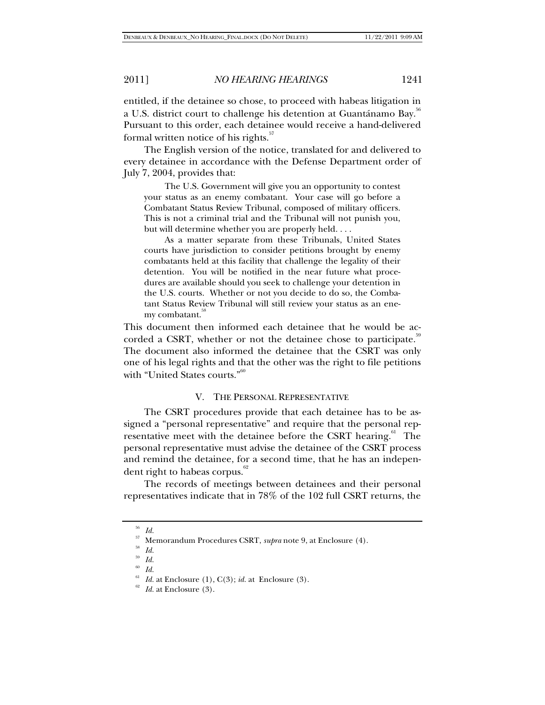entitled, if the detainee so chose, to proceed with habeas litigation in a U.S. district court to challenge his detention at Guantánamo Bay.<sup>36</sup> Pursuant to this order, each detainee would receive a hand-delivered formal written notice of his rights. $57$ 

The English version of the notice, translated for and delivered to every detainee in accordance with the Defense Department order of July 7, 2004, provides that:

The U.S. Government will give you an opportunity to contest your status as an enemy combatant. Your case will go before a Combatant Status Review Tribunal, composed of military officers. This is not a criminal trial and the Tribunal will not punish you, but will determine whether you are properly held. . . .

As a matter separate from these Tribunals, United States courts have jurisdiction to consider petitions brought by enemy combatants held at this facility that challenge the legality of their detention. You will be notified in the near future what procedures are available should you seek to challenge your detention in the U.S. courts. Whether or not you decide to do so, the Combatant Status Review Tribunal will still review your status as an enemy combatant.<sup>8</sup>

This document then informed each detainee that he would be accorded a CSRT, whether or not the detainee chose to participate.<sup>39</sup> The document also informed the detainee that the CSRT was only one of his legal rights and that the other was the right to file petitions with "United States courts."<sup>60</sup>

# V. THE PERSONAL REPRESENTATIVE

The CSRT procedures provide that each detainee has to be assigned a "personal representative" and require that the personal representative meet with the detainee before the CSRT hearing. $61$  The personal representative must advise the detainee of the CSRT process and remind the detainee, for a second time, that he has an independent right to habeas corpus.<sup>62</sup>

The records of meetings between detainees and their personal representatives indicate that in 78% of the 102 full CSRT returns, the

<sup>56</sup> *Id.*

 $^{57}_{58}$  Memorandum Procedures CSRT,  $\emph{supra}$  note 9, at Enclosure (4).  $^{58}_{\, \, \, Id}$ 

<sup>59</sup> *Id.* 60 *Id.*

<sup>&</sup>lt;sup>61</sup> *Id.* at Enclosure (1), C(3); *id.* at Enclosure (3).  $id$  at Enclosure (3).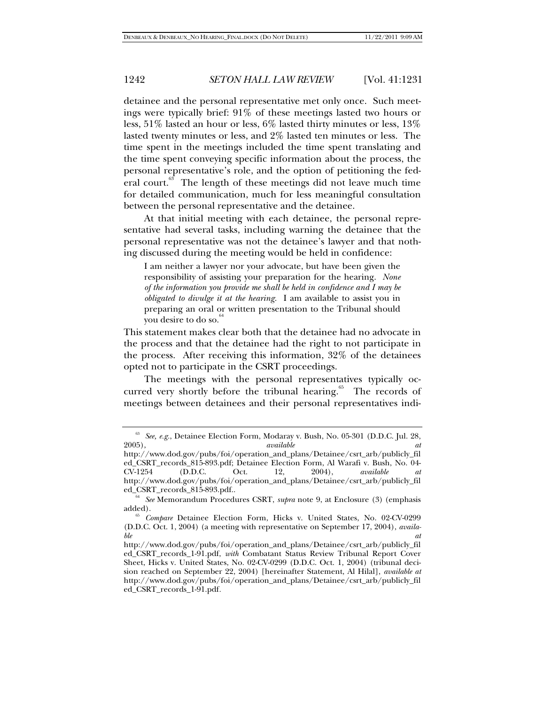detainee and the personal representative met only once. Such meetings were typically brief: 91% of these meetings lasted two hours or less, 51% lasted an hour or less, 6% lasted thirty minutes or less, 13% lasted twenty minutes or less, and 2% lasted ten minutes or less. The time spent in the meetings included the time spent translating and the time spent conveying specific information about the process, the personal representative's role, and the option of petitioning the federal court.<sup>63</sup> The length of these meetings did not leave much time for detailed communication, much for less meaningful consultation between the personal representative and the detainee.

At that initial meeting with each detainee, the personal representative had several tasks, including warning the detainee that the personal representative was not the detainee's lawyer and that nothing discussed during the meeting would be held in confidence:

I am neither a lawyer nor your advocate, but have been given the responsibility of assisting your preparation for the hearing. *None of the information you provide me shall be held in confidence and I may be obligated to divulge it at the hearing.* I am available to assist you in preparing an oral or written presentation to the Tribunal should you desire to do so.

This statement makes clear both that the detainee had no advocate in the process and that the detainee had the right to not participate in the process. After receiving this information, 32% of the detainees opted not to participate in the CSRT proceedings.

The meetings with the personal representatives typically occurred very shortly before the tribunal hearing.<sup>65</sup> The records of meetings between detainees and their personal representatives indi-

<sup>63</sup> *See, e.g.*, Detainee Election Form, Modaray v. Bush, No. 05-301 (D.D.C. Jul. 28, 2005), *available at* 

http://www.dod.gov/pubs/foi/operation\_and\_plans/Detainee/csrt\_arb/publicly\_fil ed\_CSRT\_records\_815-893.pdf; Detainee Election Form, Al Warafi v. Bush, No. 04- CV-1254 (D.D.C. Oct. 12, 2004), *available at*  http://www.dod.gov/pubs/foi/operation\_and\_plans/Detainee/csrt\_arb/publicly\_fil

<sup>&</sup>lt;sup>64</sup> See Memorandum Procedures CSRT, *supra* note 9, at Enclosure (3) (emphasis added). 65 *Compare* Detainee Election Form, Hicks v. United States, No. 02-CV-0299

<sup>(</sup>D.D.C. Oct. 1, 2004) (a meeting with representative on September 17, 2004), *available* at  $\overline{a}$ 

http://www.dod.gov/pubs/foi/operation\_and\_plans/Detainee/csrt\_arb/publicly\_fil ed\_CSRT\_records\_1-91.pdf, *with* Combatant Status Review Tribunal Report Cover Sheet, Hicks v. United States, No. 02-CV-0299 (D.D.C. Oct. 1, 2004) (tribunal decision reached on September 22, 2004) [hereinafter Statement, Al Hilal], *available at*  http://www.dod.gov/pubs/foi/operation\_and\_plans/Detainee/csrt\_arb/publicly\_fil ed\_CSRT\_records\_1-91.pdf*.*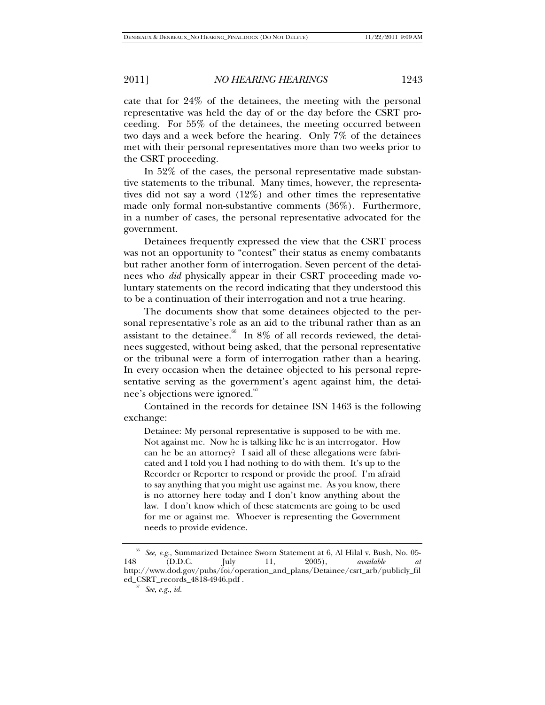cate that for 24% of the detainees, the meeting with the personal representative was held the day of or the day before the CSRT proceeding. For 55% of the detainees, the meeting occurred between two days and a week before the hearing. Only 7% of the detainees met with their personal representatives more than two weeks prior to the CSRT proceeding.

In 52% of the cases, the personal representative made substantive statements to the tribunal. Many times, however, the representatives did not say a word (12%) and other times the representative made only formal non-substantive comments (36%). Furthermore, in a number of cases, the personal representative advocated for the government.

Detainees frequently expressed the view that the CSRT process was not an opportunity to "contest" their status as enemy combatants but rather another form of interrogation. Seven percent of the detainees who *did* physically appear in their CSRT proceeding made voluntary statements on the record indicating that they understood this to be a continuation of their interrogation and not a true hearing.

The documents show that some detainees objected to the personal representative's role as an aid to the tribunal rather than as an assistant to the detainee.<sup>66</sup> In 8% of all records reviewed, the detainees suggested, without being asked, that the personal representative or the tribunal were a form of interrogation rather than a hearing. In every occasion when the detainee objected to his personal representative serving as the government's agent against him, the detainee's objections were ignored.<sup>67</sup>

Contained in the records for detainee ISN 1463 is the following exchange:

Detainee: My personal representative is supposed to be with me. Not against me. Now he is talking like he is an interrogator. How can he be an attorney? I said all of these allegations were fabricated and I told you I had nothing to do with them. It's up to the Recorder or Reporter to respond or provide the proof. I'm afraid to say anything that you might use against me. As you know, there is no attorney here today and I don't know anything about the law. I don't know which of these statements are going to be used for me or against me. Whoever is representing the Government needs to provide evidence.

<sup>&</sup>lt;sup>66</sup> See, e.g., Summarized Detainee Sworn Statement at 6, Al Hilal v. Bush, No. 05-<br>148 (D.D.C. July 11, 2005), *available at* 148 (D.D.C. July 11, 2005), *available at*  http://www.dod.gov/pubs/foi/operation\_and\_plans/Detainee/csrt\_arb/publicly\_fil ed\_CSRT\_records\_4818-4946.pdf . 67 *See, e.g.*, *id.*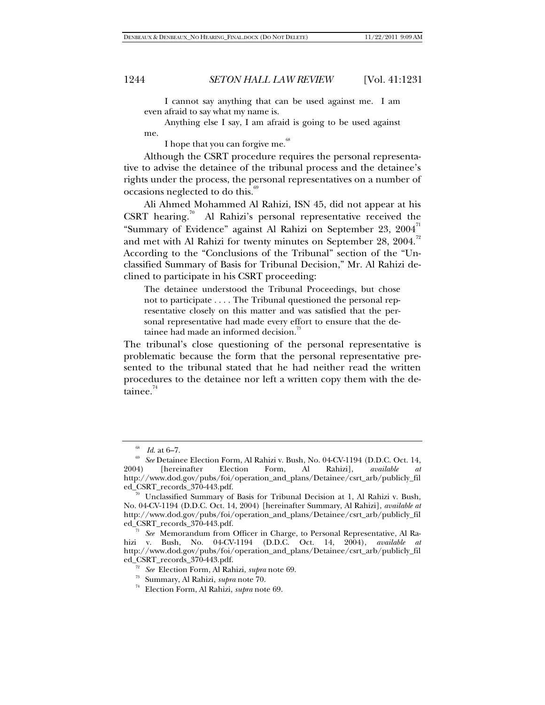I cannot say anything that can be used against me. I am even afraid to say what my name is.

Anything else I say, I am afraid is going to be used against me.

I hope that you can forgive me.<sup>68</sup>

Although the CSRT procedure requires the personal representative to advise the detainee of the tribunal process and the detainee's rights under the process, the personal representatives on a number of  $occasions neglected to do this.<sup>69</sup>$ 

Ali Ahmed Mohammed Al Rahizi, ISN 45, did not appear at his CSRT hearing.<sup>70</sup> Al Rahizi's personal representative received the "Summary of Evidence" against Al Rahizi on September 23,  $2004$ <sup>71</sup> and met with Al Rahizi for twenty minutes on September 28,  $2004$ <sup>72</sup> According to the "Conclusions of the Tribunal" section of the "Unclassified Summary of Basis for Tribunal Decision," Mr. Al Rahizi declined to participate in his CSRT proceeding:

The detainee understood the Tribunal Proceedings, but chose not to participate . . . . The Tribunal questioned the personal representative closely on this matter and was satisfied that the personal representative had made every effort to ensure that the detainee had made an informed decision.<sup>33</sup>

The tribunal's close questioning of the personal representative is problematic because the form that the personal representative presented to the tribunal stated that he had neither read the written procedures to the detainee nor left a written copy them with the detainee. $74$ 

<sup>&</sup>lt;sup>68</sup> *Id.* at 6–7.<br><sup>69</sup> *See* Detainee Election Form, Al Rahizi v. Bush, No. 04-CV-1194 (D.D.C. Oct. 14, 2004) [hereinafter Election Form, Al Rahizi], *available* http://www.dod.gov/pubs/foi/operation\_and\_plans/Detainee/csrt\_arb/publicly\_fil

<sup>&</sup>lt;sup>70</sup> Unclassified Summary of Basis for Tribunal Decision at 1, Al Rahizi v. Bush, No. 04-CV-1194 (D.D.C. Oct. 14, 2004) [hereinafter Summary, Al Rahizi], *available at* http://www.dod.gov/pubs/foi/operation\_and\_plans/Detainee/csrt\_arb/publicly\_fil ed\_CSRT\_records\_370-443.pdf.

<sup>71</sup> *See* Memorandum from Officer in Charge, to Personal Representative, Al Rahizi v. Bush, No. 04-CV-1194 (D.D.C. Oct. 14, 2004), *available at* http://www.dod.gov/pubs/foi/operation\_and\_plans/Detainee/csrt\_arb/publicly\_fil

<sup>&</sup>lt;sup>72</sup> See Election Form, Al Rahizi, *supra* note 69.<br><sup>73</sup> Summary, Al Rahizi, *supra* note 70.<br><sup>74</sup> Election Form, Al Rahizi, *supra* note 69.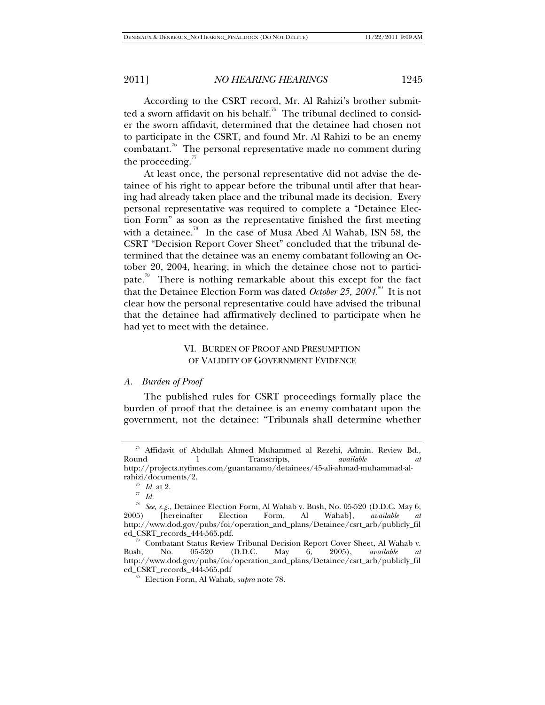According to the CSRT record, Mr. Al Rahizi's brother submitted a sworn affidavit on his behalf.<sup>75</sup> The tribunal declined to consider the sworn affidavit, determined that the detainee had chosen not to participate in the CSRT, and found Mr. Al Rahizi to be an enemy combatant.<sup>76</sup> The personal representative made no comment during the proceeding. $^{77}$ 

At least once, the personal representative did not advise the detainee of his right to appear before the tribunal until after that hearing had already taken place and the tribunal made its decision. Every personal representative was required to complete a "Detainee Election Form" as soon as the representative finished the first meeting with a detainee.<sup>78</sup> In the case of Musa Abed Al Wahab, ISN 58, the CSRT "Decision Report Cover Sheet" concluded that the tribunal determined that the detainee was an enemy combatant following an October 20, 2004, hearing, in which the detainee chose not to participate.<sup>79</sup> There is nothing remarkable about this except for the fact that the Detainee Election Form was dated *October 25*, 2004.<sup>80</sup> It is not clear how the personal representative could have advised the tribunal that the detainee had affirmatively declined to participate when he had yet to meet with the detainee.

# VI. BURDEN OF PROOF AND PRESUMPTION OF VALIDITY OF GOVERNMENT EVIDENCE

# *A. Burden of Proof*

The published rules for CSRT proceedings formally place the burden of proof that the detainee is an enemy combatant upon the government, not the detainee: "Tribunals shall determine whether

<sup>&</sup>lt;sup>75</sup> Affidavit of Abdullah Ahmed Muhammed al Rezehi, Admin. Review Bd., Round 1 Transcripts, *available at* 1 Transcripts, *available at at* http://projects.nytimes.com/guantanamo/detainees/45-ali-ahmad-muhammad-al-

rahizi/documents/2.<br>
<sup>76</sup> *Id.* at 2.<br>
<sup>77</sup> *Id.*<br>
<sup>28</sup> *See, e.g.*, Detainee Election Form, Al Wahab v. Bush, No. 05-520 (D.D.C. May 6, 2005) [hereinafter Election Form, Al Wahab], *available at* 2005) [hereinafter Election Form, Al Wahab], *available at*  http://www.dod.gov/pubs/foi/operation\_and\_plans/Detainee/csrt\_arb/publicly\_fil

ed\_CSRT\_records\_444-565.pdf.<br>
<sup>79</sup> Combatant Status Review Tribunal Decision Report Cover Sheet, Al Wahab v.<br>
Bush, No. 05-520 (D.D.C. May 6, 2005), *available at* Bush, No. 05-520 (D.D.C. May 6, 2005), *available at*  http://www.dod.gov/pubs/foi/operation\_and\_plans/Detainee/csrt\_arb/publicly\_fil

<sup>&</sup>lt;sup>o</sup> Election Form, Al Wahab, *supra* note 78.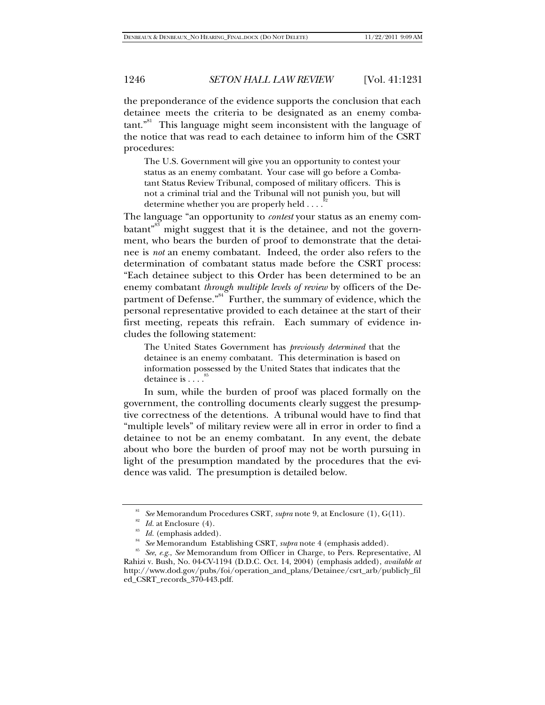the preponderance of the evidence supports the conclusion that each detainee meets the criteria to be designated as an enemy combatant."<sup>81</sup> This language might seem inconsistent with the language of the notice that was read to each detainee to inform him of the CSRT procedures:

The U.S. Government will give you an opportunity to contest your status as an enemy combatant. Your case will go before a Combatant Status Review Tribunal, composed of military officers. This is not a criminal trial and the Tribunal will not punish you, but will determine whether you are properly held . . . .<sup>8</sup>

The language "an opportunity to *contest* your status as an enemy combatant<sup>"83</sup> might suggest that it is the detainee, and not the government, who bears the burden of proof to demonstrate that the detainee is *not* an enemy combatant. Indeed, the order also refers to the determination of combatant status made before the CSRT process: "Each detainee subject to this Order has been determined to be an enemy combatant *through multiple levels of review* by officers of the Department of Defense."<sup>84</sup> Further, the summary of evidence, which the personal representative provided to each detainee at the start of their first meeting, repeats this refrain. Each summary of evidence includes the following statement:

The United States Government has *previously determined* that the detainee is an enemy combatant. This determination is based on information possessed by the United States that indicates that the detainee is . . . .<sup>6</sup>

In sum, while the burden of proof was placed formally on the government, the controlling documents clearly suggest the presumptive correctness of the detentions. A tribunal would have to find that "multiple levels" of military review were all in error in order to find a detainee to not be an enemy combatant. In any event, the debate about who bore the burden of proof may not be worth pursuing in light of the presumption mandated by the procedures that the evidence was valid. The presumption is detailed below.

<sup>&</sup>lt;sup>81</sup> See Memorandum Procedures CSRT, *supra* note 9, at Enclosure (1), G(11).<br><sup>82</sup> Id. at Enclosure (4).<br><sup>83</sup> Id. (emphasis added).<br><sup>85</sup> See Memorandum Establishing CSRT, *supra* note 4 (emphasis added).<br><sup>85</sup> See, e.g., S Rahizi v. Bush, No. 04-CV-1194 (D.D.C. Oct. 14, 2004) (emphasis added), *available at* http://www.dod.gov/pubs/foi/operation\_and\_plans/Detainee/csrt\_arb/publicly\_fil ed\_CSRT\_records\_370-443.pdf.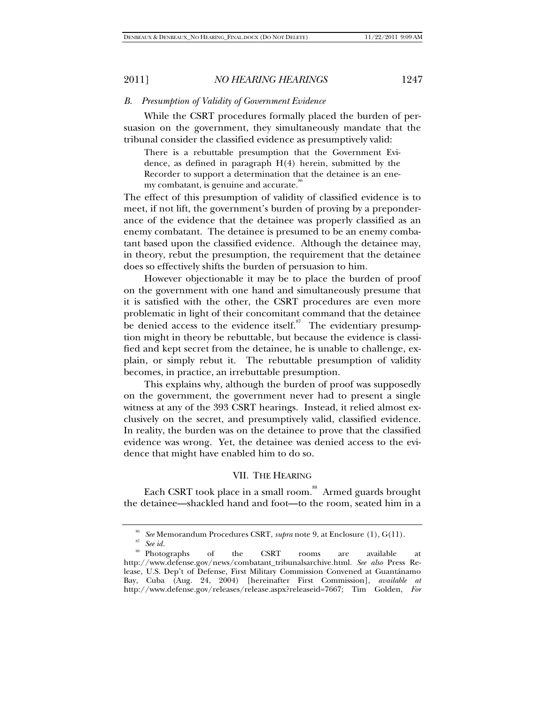### *B. Presumption of Validity of Government Evidence*

While the CSRT procedures formally placed the burden of persuasion on the government, they simultaneously mandate that the tribunal consider the classified evidence as presumptively valid:

There is a rebuttable presumption that the Government Evidence, as defined in paragraph H(4) herein, submitted by the Recorder to support a determination that the detainee is an enemy combatant, is genuine and accurate.<sup>86</sup>

The effect of this presumption of validity of classified evidence is to meet, if not lift, the government's burden of proving by a preponderance of the evidence that the detainee was properly classified as an enemy combatant. The detainee is presumed to be an enemy combatant based upon the classified evidence. Although the detainee may, in theory, rebut the presumption, the requirement that the detainee does so effectively shifts the burden of persuasion to him.

However objectionable it may be to place the burden of proof on the government with one hand and simultaneously presume that it is satisfied with the other, the CSRT procedures are even more problematic in light of their concomitant command that the detainee be denied access to the evidence itself. $\frac{87}{10}$  The evidentiary presumption might in theory be rebuttable, but because the evidence is classified and kept secret from the detainee, he is unable to challenge, explain, or simply rebut it. The rebuttable presumption of validity becomes, in practice, an irrebuttable presumption.

This explains why, although the burden of proof was supposedly on the government, the government never had to present a single witness at any of the 393 CSRT hearings. Instead, it relied almost exclusively on the secret, and presumptively valid, classified evidence. In reality, the burden was on the detainee to prove that the classified evidence was wrong. Yet, the detainee was denied access to the evidence that might have enabled him to do so.

## VII. THE HEARING

Each CSRT took place in a small room.<sup>88</sup> Armed guards brought the detainee—shackled hand and foot—to the room, seated him in a

<sup>86</sup> *See* Memorandum Procedures CSRT, *supra* note 9, at Enclosure (1), G(11). 87 *See id.*

<sup>88</sup> Photographs of the CSRT rooms are available at http://www.defense.gov/news/combatant\_tribunalsarchive.html. *See also* Press Release, U.S. Dep't of Defense, First Military Commission Convened at Guantánamo Bay, Cuba (Aug. 24, 2004) [hereinafter First Commission], *available at*  http://www.defense.gov/releases/release.aspx?releaseid=7667; Tim Golden, *For*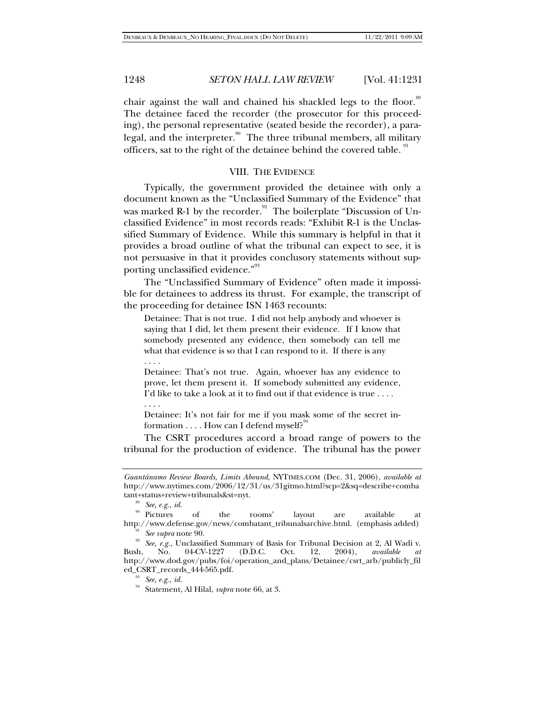chair against the wall and chained his shackled legs to the floor.<sup>89</sup> The detainee faced the recorder (the prosecutor for this proceeding), the personal representative (seated beside the recorder), a paralegal, and the interpreter.<sup>90</sup> The three tribunal members, all military officers, sat to the right of the detainee behind the covered table.

## VIII. THE EVIDENCE

Typically, the government provided the detainee with only a document known as the "Unclassified Summary of the Evidence" that was marked R-1 by the recorder.<sup>92</sup> The boilerplate "Discussion of Unclassified Evidence" in most records reads: "Exhibit R-1 is the Unclassified Summary of Evidence. While this summary is helpful in that it provides a broad outline of what the tribunal can expect to see, it is not persuasive in that it provides conclusory statements without supporting unclassified evidence."<sup>93</sup>

The "Unclassified Summary of Evidence" often made it impossible for detainees to address its thrust. For example, the transcript of the proceeding for detainee ISN 1463 recounts:

Detainee: That is not true. I did not help anybody and whoever is saying that I did, let them present their evidence. If I know that somebody presented any evidence, then somebody can tell me what that evidence is so that I can respond to it. If there is any . . . .

Detainee: That's not true. Again, whoever has any evidence to prove, let them present it. If somebody submitted any evidence, I'd like to take a look at it to find out if that evidence is true . . . .

. . . .

Detainee: It's not fair for me if you mask some of the secret information  $\dots$ . How can I defend myself?<sup>94</sup>

The CSRT procedures accord a broad range of powers to the tribunal for the production of evidence. The tribunal has the power

*Guantánamo Review Boards, Limits Abound*, NYTIMES.COM (Dec. 31, 2006), *available at* http://www.nytimes.com/2006/12/31/us/31gitmo.html?scp=2&sq=describe+comba tant+status+review+tribunals&st=nyt. 89 *See, e.g., id.* 

<sup>&</sup>lt;sup>90</sup> Pictures of the rooms' layout are available at http://www.defense.gov/news/combatant\_tribunalsarchive.html. (emphasis added)

<sup>&</sup>lt;sup>91</sup> See supra note 90.<br><sup>92</sup> See, e.g., Unclassified Summary of Basis for Tribunal Decision at 2, Al Wadi v. Bush, No. 04-CV-1227 (D.D.C. Oct. 12, 2004), *available at*  http://www.dod.gov/pubs/foi/operation\_and\_plans/Detainee/csrt\_arb/publicly\_fil ed\_CSRT\_records\_444-565.pdf. 93 *See, e.g., id.*

<sup>94</sup> Statement, Al Hilal, *supra* note 66, at 3.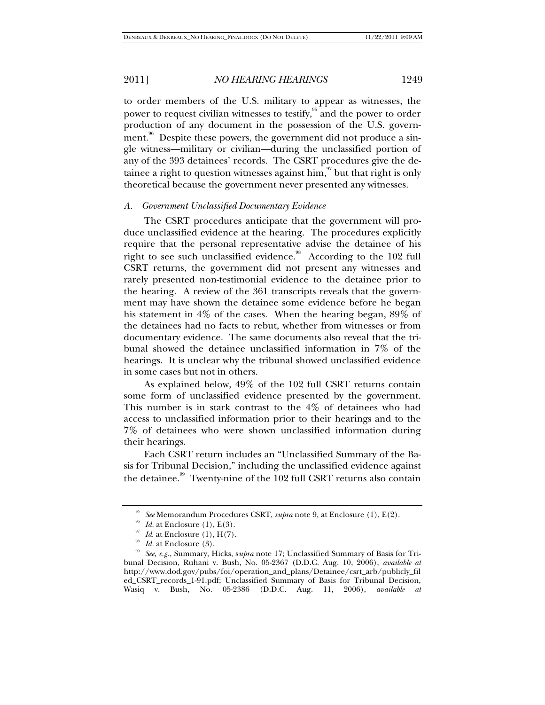to order members of the U.S. military to appear as witnesses, the power to request civilian witnesses to testify, $\frac{95}{3}$  and the power to order production of any document in the possession of the U.S. government.<sup>96</sup> Despite these powers, the government did not produce a single witness—military or civilian—during the unclassified portion of any of the 393 detainees' records. The CSRT procedures give the detainee a right to question witnesses against him,  $\frac{97}{3}$  but that right is only theoretical because the government never presented any witnesses.

### *A. Government Unclassified Documentary Evidence*

The CSRT procedures anticipate that the government will produce unclassified evidence at the hearing. The procedures explicitly require that the personal representative advise the detainee of his right to see such unclassified evidence.<sup>98</sup> According to the 102 full CSRT returns, the government did not present any witnesses and rarely presented non-testimonial evidence to the detainee prior to the hearing. A review of the 361 transcripts reveals that the government may have shown the detainee some evidence before he began his statement in 4% of the cases. When the hearing began, 89% of the detainees had no facts to rebut, whether from witnesses or from documentary evidence. The same documents also reveal that the tribunal showed the detainee unclassified information in 7% of the hearings. It is unclear why the tribunal showed unclassified evidence in some cases but not in others.

As explained below, 49% of the 102 full CSRT returns contain some form of unclassified evidence presented by the government. This number is in stark contrast to the 4% of detainees who had access to unclassified information prior to their hearings and to the 7% of detainees who were shown unclassified information during their hearings.

Each CSRT return includes an "Unclassified Summary of the Basis for Tribunal Decision," including the unclassified evidence against the detainee.<sup>99</sup> Twenty-nine of the 102 full CSRT returns also contain

<sup>&</sup>lt;sup>95</sup> See Memorandum Procedures CSRT, *supra* note 9, at Enclosure (1), E(2).<br><sup>96</sup> Id. at Enclosure (1), E(3).<br><sup>97</sup> Id. at Enclosure (3).<br><sup>98</sup> Id. at Enclosure (3).

<sup>99</sup> *See, e.g.*, Summary, Hicks, s*upra* note 17; Unclassified Summary of Basis for Tribunal Decision, Ruhani v. Bush, No. 05-2367 (D.D.C. Aug. 10, 2006), *available at*  http://www.dod.gov/pubs/foi/operation\_and\_plans/Detainee/csrt\_arb/publicly\_fil ed\_CSRT\_records\_1-91.pdf; Unclassified Summary of Basis for Tribunal Decision, Wasiq v. Bush, No. 05-2386 (D.D.C. Aug. 11, 2006), *available at*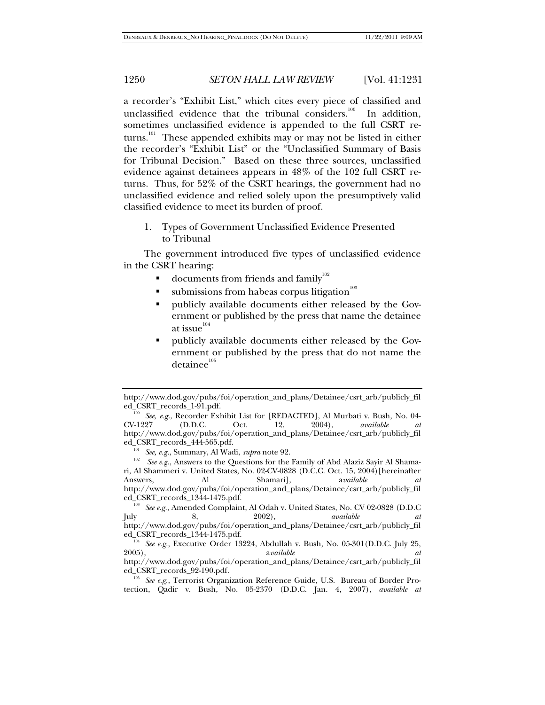a recorder's "Exhibit List," which cites every piece of classified and unclassified evidence that the tribunal considers.<sup>100</sup> In addition, sometimes unclassified evidence is appended to the full CSRT returns.<sup>101</sup> These appended exhibits may or may not be listed in either the recorder's "Exhibit List" or the "Unclassified Summary of Basis for Tribunal Decision." Based on these three sources, unclassified evidence against detainees appears in 48% of the 102 full CSRT returns. Thus, for 52% of the CSRT hearings, the government had no unclassified evidence and relied solely upon the presumptively valid classified evidence to meet its burden of proof.

1. Types of Government Unclassified Evidence Presented to Tribunal

The government introduced five types of unclassified evidence in the CSRT hearing:

- documents from friends and family<sup>102</sup>
- $\blacksquare$  submissions from habeas corpus litigation<sup>103</sup>
- publicly available documents either released by the Government or published by the press that name the detainee at issue $^{^{104}}$
- publicly available documents either released by the Government or published by the press that do not name the detainee<sup>105</sup>

http://www.dod.gov/pubs/foi/operation\_and\_plans/Detainee/csrt\_arb/publicly\_fil

<sup>&</sup>lt;sup>100</sup> See, e.g., Recorder Exhibit List for [REDACTED], Al Murbati v. Bush, No. 04-CV-1227 (D.D.C. Oct. 12, 2004), *available at* CV-1227 (D.D.C. Oct. 12, 2004), *available at* http://www.dod.gov/pubs/foi/operation\_and\_plans/Detainee/csrt\_arb/publicly\_fil ed\_CSRT\_records\_444-565.pdf.<br><sup>101</sup> See, e.g., Summary, Al Wadi, *supra* note 92.

<sup>&</sup>lt;sup>102</sup> See e.g., Answers to the Questions for the Family of Abd Alaziz Sayir Al Shamari, Al Shammeri v. United States, No. 02-CV-0828 (D.C.C. Oct. 15, 2004)[hereinafter Answers, Al Shamari], a*vailable at*  http://www.dod.gov/pubs/foi/operation\_and\_plans/Detainee/csrt\_arb/publicly\_fil

<sup>&</sup>lt;sup>103</sup> See e.g., Amended Complaint, Al Odah v. United States, No. CV 02-0828 (D.D.C July 8, 2002), *available at*  http://www.dod.gov/pubs/foi/operation\_and\_plans/Detainee/csrt\_arb/publicly\_fil

<sup>&</sup>lt;sup>104</sup> See e.g., Executive Order 13224, Abdullah v. Bush, No. 05-301(D.D.C. July 25, 2005).<br>available 2005), a*vailable at*  http://www.dod.gov/pubs/foi/operation\_and\_plans/Detainee/csrt\_arb/publicly\_fil

ed\_CSRT\_records\_92-190.pdf. 105 *See e.g.*, Terrorist Organization Reference Guide, U.S. Bureau of Border Protection, Qadir v. Bush, No. 05-2370 (D.D.C. Jan. 4, 2007), *available at*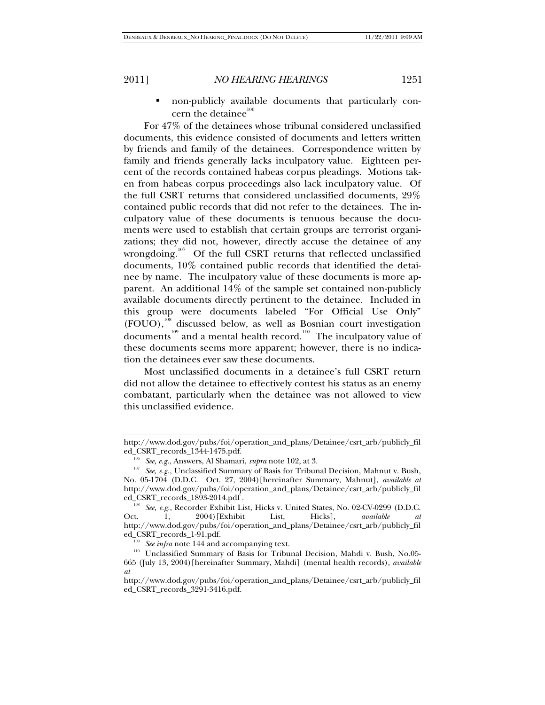non-publicly available documents that particularly concern the detainee $106$ 

For 47% of the detainees whose tribunal considered unclassified documents, this evidence consisted of documents and letters written by friends and family of the detainees. Correspondence written by family and friends generally lacks inculpatory value. Eighteen percent of the records contained habeas corpus pleadings. Motions taken from habeas corpus proceedings also lack inculpatory value. Of the full CSRT returns that considered unclassified documents, 29% contained public records that did not refer to the detainees. The inculpatory value of these documents is tenuous because the documents were used to establish that certain groups are terrorist organizations; they did not, however, directly accuse the detainee of any wrongdoing.<sup>107</sup> Of the full CSRT returns that reflected unclassified documents, 10% contained public records that identified the detainee by name. The inculpatory value of these documents is more apparent. An additional 14% of the sample set contained non-publicly available documents directly pertinent to the detainee. Included in this group were documents labeled "For Official Use Only" (FOUO),<sup>108</sup> discussed below, as well as Bosnian court investigation documents<sup>109</sup> and a mental health record.<sup>110</sup> The inculpatory value of these documents seems more apparent; however, there is no indication the detainees ever saw these documents.

Most unclassified documents in a detainee's full CSRT return did not allow the detainee to effectively contest his status as an enemy combatant, particularly when the detainee was not allowed to view this unclassified evidence.

http://www.dod.gov/pubs/foi/operation\_and\_plans/Detainee/csrt\_arb/publicly\_fil

<sup>&</sup>lt;sup>106</sup> *See, e.g.*, Answers, Al Shamari, *supra* note 102, at 3. 107 *See, e.g.*, Unclassified Summary of Basis for Tribunal Decision, Mahnut v. Bush, No. 05-1704 (D.D.C. Oct. 27, 2004)[hereinafter Summary, Mahnut], *available at* http://www.dod.gov/pubs/foi/operation\_and\_plans/Detainee/csrt\_arb/publicly\_fil

<sup>&</sup>lt;sup>108</sup> See, e.g., Recorder Exhibit List, Hicks v. United States, No. 02-CV-0299 (D.D.C. Oct. 1, 2004)[Exhibit List, Hicks], *available at* http://www.dod.gov/pubs/foi/operation\_and\_plans/Detainee/csrt\_arb/publicly\_fil

ed\_CSRT\_records\_1-91.pdf.<br><sup>109</sup> See infra note 144 and accompanying text.<br><sup>110</sup> Unclassified Summary of Basis for Tribunal Decision, Mahdi v. Bush, No.05-665 (July 13, 2004)[hereinafter Summary, Mahdi] (mental health records), *available at*

http://www.dod.gov/pubs/foi/operation\_and\_plans/Detainee/csrt\_arb/publicly\_fil ed\_CSRT\_records\_3291-3416.pdf.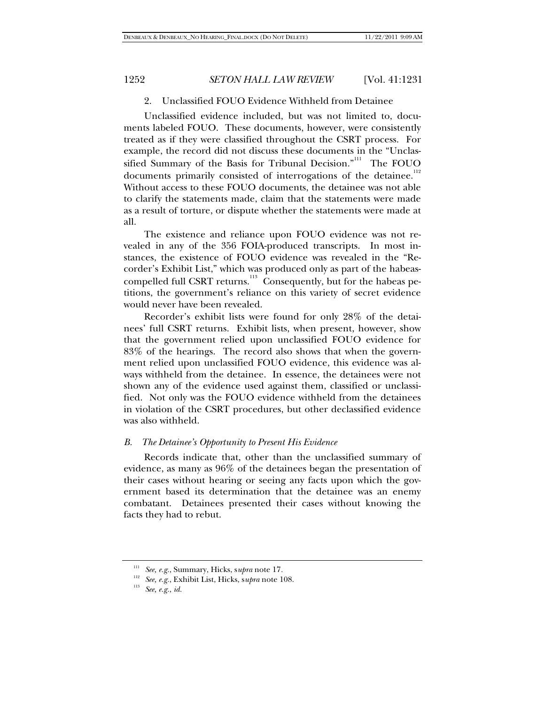### 2. Unclassified FOUO Evidence Withheld from Detainee

Unclassified evidence included, but was not limited to, documents labeled FOUO. These documents, however, were consistently treated as if they were classified throughout the CSRT process. For example, the record did not discuss these documents in the "Unclassified Summary of the Basis for Tribunal Decision."<sup>111</sup> The FOUO documents primarily consisted of interrogations of the detainee.<sup>112</sup> Without access to these FOUO documents, the detainee was not able to clarify the statements made, claim that the statements were made as a result of torture, or dispute whether the statements were made at all.

The existence and reliance upon FOUO evidence was not revealed in any of the 356 FOIA-produced transcripts. In most instances, the existence of FOUO evidence was revealed in the "Recorder's Exhibit List," which was produced only as part of the habeascompelled full CSRT returns.<sup>113</sup> Consequently, but for the habeas petitions, the government's reliance on this variety of secret evidence would never have been revealed.

Recorder's exhibit lists were found for only 28% of the detainees' full CSRT returns. Exhibit lists, when present, however, show that the government relied upon unclassified FOUO evidence for 83% of the hearings. The record also shows that when the government relied upon unclassified FOUO evidence, this evidence was always withheld from the detainee. In essence, the detainees were not shown any of the evidence used against them, classified or unclassified. Not only was the FOUO evidence withheld from the detainees in violation of the CSRT procedures, but other declassified evidence was also withheld.

### *B. The Detainee's Opportunity to Present His Evidence*

Records indicate that, other than the unclassified summary of evidence, as many as 96% of the detainees began the presentation of their cases without hearing or seeing any facts upon which the government based its determination that the detainee was an enemy combatant. Detainees presented their cases without knowing the facts they had to rebut.

<sup>111</sup> *See, e.g.*, Summary, Hicks, s*upra* note 17*.*

<sup>112</sup> *See, e.g.*, Exhibit List, Hicks, s*upra* note 108. 113 *See, e.g.*, *id.*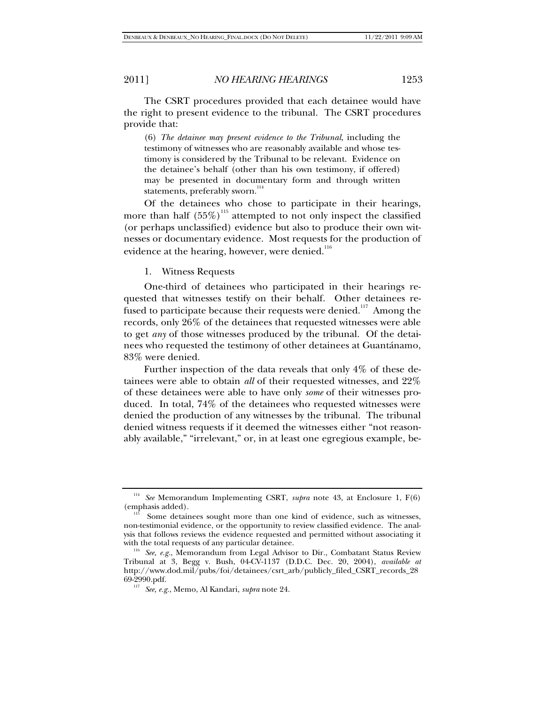The CSRT procedures provided that each detainee would have the right to present evidence to the tribunal. The CSRT procedures provide that:

(6) *The detainee may present evidence to the Tribunal*, including the testimony of witnesses who are reasonably available and whose testimony is considered by the Tribunal to be relevant. Evidence on the detainee's behalf (other than his own testimony, if offered) may be presented in documentary form and through written statements, preferably sworn.<sup>114</sup>

Of the detainees who chose to participate in their hearings, more than half  $(55\%)$ <sup>115</sup> attempted to not only inspect the classified (or perhaps unclassified) evidence but also to produce their own witnesses or documentary evidence. Most requests for the production of evidence at the hearing, however, were denied.<sup>116</sup>

## 1. Witness Requests

One-third of detainees who participated in their hearings requested that witnesses testify on their behalf. Other detainees refused to participate because their requests were denied.<sup>117</sup> Among the records, only 26% of the detainees that requested witnesses were able to get *any* of those witnesses produced by the tribunal. Of the detainees who requested the testimony of other detainees at Guantánamo, 83% were denied.

Further inspection of the data reveals that only 4% of these detainees were able to obtain *all* of their requested witnesses, and 22% of these detainees were able to have only *some* of their witnesses produced. In total, 74% of the detainees who requested witnesses were denied the production of any witnesses by the tribunal. The tribunal denied witness requests if it deemed the witnesses either "not reasonably available," "irrelevant," or, in at least one egregious example, be-

<sup>114</sup> *See* Memorandum Implementing CSRT, *supra* note 43, at Enclosure 1, F(6) (emphasis added).<br><sup>115</sup> Some detainees sought more than one kind of evidence, such as witnesses,

non-testimonial evidence, or the opportunity to review classified evidence. The analysis that follows reviews the evidence requested and permitted without associating it

<sup>&</sup>lt;sup>116</sup> See, e.g., Memorandum from Legal Advisor to Dir., Combatant Status Review Tribunal at 3, Begg v. Bush, 04-CV-1137 (D.D.C. Dec. 20, 2004), *available at* http://www.dod.mil/pubs/foi/detainees/csrt\_arb/publicly\_filed\_CSRT\_records\_28 69-2990.pdf. 117 *See, e.g.*, Memo, Al Kandari, *supra* note 24.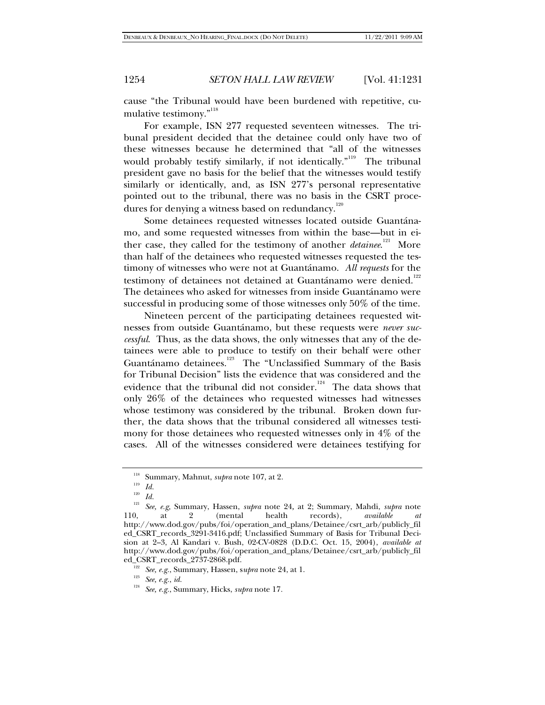cause "the Tribunal would have been burdened with repetitive, cumulative testimony."<sup>118</sup>

For example, ISN 277 requested seventeen witnesses. The tribunal president decided that the detainee could only have two of these witnesses because he determined that "all of the witnesses would probably testify similarly, if not identically."<sup>119</sup> The tribunal president gave no basis for the belief that the witnesses would testify similarly or identically, and, as ISN 277's personal representative pointed out to the tribunal, there was no basis in the CSRT procedures for denying a witness based on redundancy.<sup>120</sup>

Some detainees requested witnesses located outside Guantánamo, and some requested witnesses from within the base—but in either case, they called for the testimony of another *detainee*.<sup>121</sup> More than half of the detainees who requested witnesses requested the testimony of witnesses who were not at Guantánamo. *All requests* for the testimony of detainees not detained at Guantánamo were denied.<sup>122</sup> The detainees who asked for witnesses from inside Guantánamo were successful in producing some of those witnesses only 50% of the time.

Nineteen percent of the participating detainees requested witnesses from outside Guantánamo, but these requests were *never successful*. Thus, as the data shows, the only witnesses that any of the detainees were able to produce to testify on their behalf were other Guantánamo detainees.<sup>123</sup> The "Unclassified Summary of the Basis for Tribunal Decision" lists the evidence that was considered and the evidence that the tribunal did not consider.<sup>124</sup> The data shows that only 26% of the detainees who requested witnesses had witnesses whose testimony was considered by the tribunal. Broken down further, the data shows that the tribunal considered all witnesses testimony for those detainees who requested witnesses only in 4% of the cases. All of the witnesses considered were detainees testifying for

<sup>&</sup>lt;sup>118</sup> Summary, Mahnut, *supra* note 107, at 2.<br><sup>119</sup> *Id.*<br><sup>120</sup> *IJ* 

<sup>120</sup> *Id.* 121 *See, e.g,* Summary, Hassen, *supra* note 24, at 2; Summary, Mahdi, *supra* note 110, at 2 (mental health records), *available at* http://www.dod.gov/pubs/foi/operation\_and\_plans/Detainee/csrt\_arb/publicly\_fil ed\_CSRT\_records\_3291-3416.pdf; Unclassified Summary of Basis for Tribunal Decision at 2–3, Al Kandari v. Bush, 02-CV-0828 (D.D.C. Oct. 15, 2004), *available at*  http://www.dod.gov/pubs/foi/operation\_and\_plans/Detainee/csrt\_arb/publicly\_fil ed\_CSRT\_records\_2737-2868.pdf. 122 *See, e.g.*, Summary, Hassen, s*upra* note 24, at 1. 123 *See, e.g.*, *id.*

<sup>124</sup> *See, e.g.*, Summary, Hicks, *supra* note 17*.*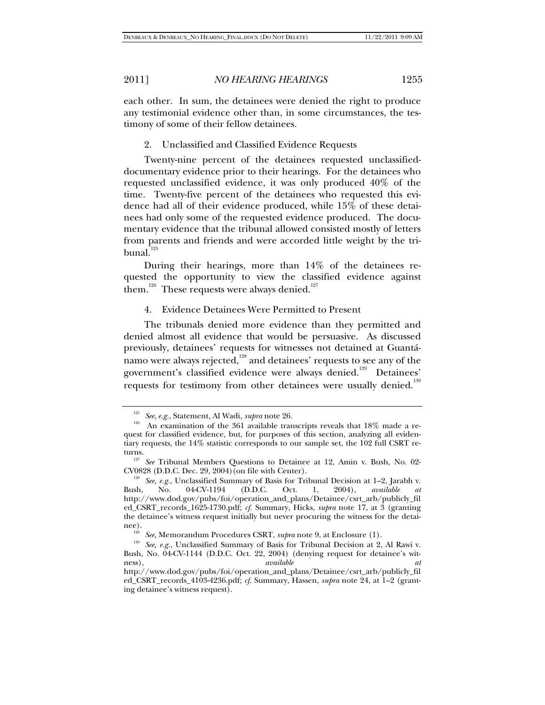each other. In sum, the detainees were denied the right to produce any testimonial evidence other than, in some circumstances, the testimony of some of their fellow detainees.

2. Unclassified and Classified Evidence Requests

Twenty-nine percent of the detainees requested unclassifieddocumentary evidence prior to their hearings. For the detainees who requested unclassified evidence, it was only produced 40% of the time. Twenty-five percent of the detainees who requested this evidence had all of their evidence produced, while 15% of these detainees had only some of the requested evidence produced. The documentary evidence that the tribunal allowed consisted mostly of letters from parents and friends and were accorded little weight by the tri $b$ unal. $125$ 

During their hearings, more than 14% of the detainees requested the opportunity to view the classified evidence against them.<sup>126</sup> These requests were always denied.<sup>127</sup>

### 4. Evidence Detainees Were Permitted to Present

The tribunals denied more evidence than they permitted and denied almost all evidence that would be persuasive. As discussed previously, detainees' requests for witnesses not detained at Guantánamo were always rejected, $1^{128}$  and detainees' requests to see any of the government's classified evidence were always denied.<sup>129</sup> Detainees' requests for testimony from other detainees were usually denied.<sup>130</sup>

<sup>&</sup>lt;sup>125</sup> See, e.g., Statement, Al Wadi, *supra* note 26.<br><sup>126</sup> An examination of the 361 available transcripts reveals that 18% made a request for classified evidence, but, for purposes of this section, analyzing all evidentiary requests, the 14% statistic corresponds to our sample set, the 102 full CSRT re-

turns.<br><sup>127</sup> See Tribunal Members Questions to Detainee at 12, Amin v. Bush, No. 02-<br>CV0828 (D.D.C. Dec. 29, 2004) (on file with Center).

<sup>&</sup>lt;sup>128</sup> See, e.g., Unclassified Summary of Basis for Tribunal Decision at  $1-2$ , Jarabh v.<br>sh, No. 04-CV-1194 (D.D.C. Oct. 1, 2004), *available at* Bush, No. 04-CV-1194 (D.D.C. Oct. 1, 2004), *available at*  http://www.dod.gov/pubs/foi/operation\_and\_plans/Detainee/csrt\_arb/publicly\_fil ed\_CSRT\_records\_1625-1730.pdf; *cf.* Summary, Hicks, *supra* note 17, at 3 (granting the detainee's witness request initially but never procuring the witness for the detai-

nee).<br><sup>129</sup> *See, Memorandum Procedures CSRT, supra* note 9, at Enclosure (1).<br><sup>130</sup> *See, e.g.*, Unclassified Summary of Basis for Tribunal Decision at 2, Al Rawi v. Bush, No. 04-CV-1144 (D.D.C. Oct. 22, 2004) (denying request for detainee's witness), *available at* http://www.dod.gov/pubs/foi/operation\_and\_plans/Detainee/csrt\_arb/publicly\_fil ed\_CSRT\_records\_4103-4236.pdf; *cf.* Summary, Hassen, *supra* note 24, at 1–2 (granting detainee's witness request).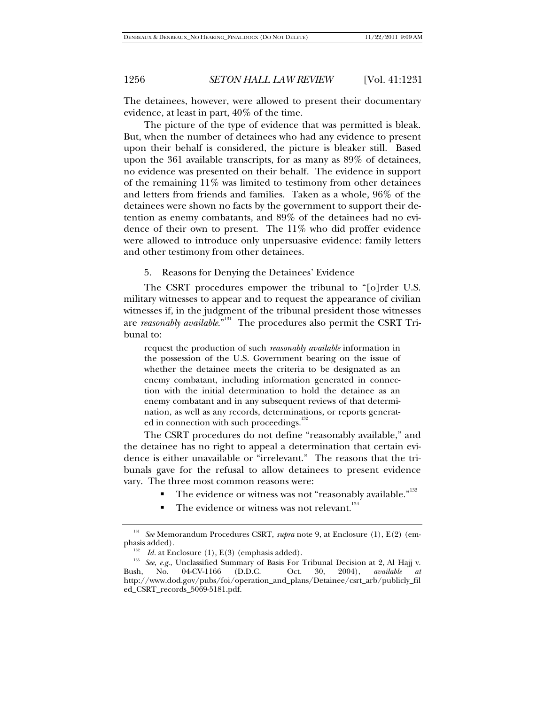The detainees, however, were allowed to present their documentary evidence, at least in part, 40% of the time.

The picture of the type of evidence that was permitted is bleak. But, when the number of detainees who had any evidence to present upon their behalf is considered, the picture is bleaker still. Based upon the 361 available transcripts, for as many as 89% of detainees, no evidence was presented on their behalf. The evidence in support of the remaining 11% was limited to testimony from other detainees and letters from friends and families. Taken as a whole, 96% of the detainees were shown no facts by the government to support their detention as enemy combatants, and 89% of the detainees had no evidence of their own to present. The 11% who did proffer evidence were allowed to introduce only unpersuasive evidence: family letters and other testimony from other detainees.

5. Reasons for Denying the Detainees' Evidence

The CSRT procedures empower the tribunal to "[o]rder U.S. military witnesses to appear and to request the appearance of civilian witnesses if, in the judgment of the tribunal president those witnesses are *reasonably available*."<sup>131</sup> The procedures also permit the CSRT Tribunal to:

request the production of such *reasonably available* information in the possession of the U.S. Government bearing on the issue of whether the detainee meets the criteria to be designated as an enemy combatant, including information generated in connection with the initial determination to hold the detainee as an enemy combatant and in any subsequent reviews of that determination, as well as any records, determinations, or reports generated in connection with such proceedings.<sup>1</sup>

The CSRT procedures do not define "reasonably available," and the detainee has no right to appeal a determination that certain evidence is either unavailable or "irrelevant." The reasons that the tribunals gave for the refusal to allow detainees to present evidence vary. The three most common reasons were:

- The evidence or witness was not "reasonably available."<sup>133</sup>
- The evidence or witness was not relevant.<sup>134</sup>

<sup>&</sup>lt;sup>131</sup> See Memorandum Procedures CSRT, *supra* note 9, at Enclosure (1), E(2) (emphasis added).

<sup>&</sup>lt;sup>132</sup> *Id.* at Enclosure (1), E(3) (emphasis added).<br><sup>133</sup> See, e.g., Unclassified Summary of Basis For Tribunal Decision at 2, Al Hajj v.<br>135, No. 04-CV-1166 (D.D.C. Oct. 30, 2004), *available at* Bush, No. 04-CV-1166 (D.D.C. Oct. 30, 2004), *available* http://www.dod.gov/pubs/foi/operation\_and\_plans/Detainee/csrt\_arb/publicly\_fil ed\_CSRT\_records\_5069-5181.pdf.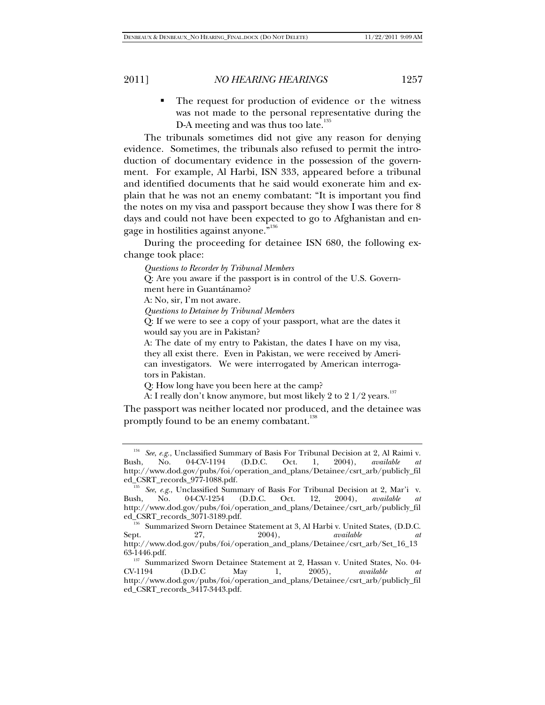• The request for production of evidence or the witness was not made to the personal representative during the D-A meeting and was thus too late.<sup>135</sup>

The tribunals sometimes did not give any reason for denying evidence. Sometimes, the tribunals also refused to permit the introduction of documentary evidence in the possession of the government. For example, Al Harbi, ISN 333, appeared before a tribunal and identified documents that he said would exonerate him and explain that he was not an enemy combatant: "It is important you find the notes on my visa and passport because they show I was there for 8 days and could not have been expected to go to Afghanistan and engage in hostilities against anyone."<sup>136</sup>

During the proceeding for detainee ISN 680, the following exchange took place:

*Questions to Recorder by Tribunal Members*

Q: Are you aware if the passport is in control of the U.S. Government here in Guantánamo?

A: No, sir, I'm not aware.

*Questions to Detainee by Tribunal Members*

Q: If we were to see a copy of your passport, what are the dates it would say you are in Pakistan?

A: The date of my entry to Pakistan, the dates I have on my visa, they all exist there. Even in Pakistan, we were received by American investigators. We were interrogated by American interrogators in Pakistan.

Q: How long have you been here at the camp?

A: I really don't know anymore, but most likely 2 to 2  $1/2$  years.<sup>137</sup>

The passport was neither located nor produced, and the detainee was promptly found to be an enemy combatant.<sup>138</sup>

<sup>134</sup> *See*, *e.g.*, Unclassified Summary of Basis For Tribunal Decision at 2, Al Raimi v. Bush, No. 04-CV-1194 (D.D.C. Oct. 1, 2004), *available* http://www.dod.gov/pubs/foi/operation\_and\_plans/Detainee/csrt\_arb/publicly\_fil

<sup>&</sup>lt;sup>15</sup> See, e.g., Unclassified Summary of Basis For Tribunal Decision at 2, Mar'i v.<br>h, No. 04-CV-1254 (D.D.C. Oct. 12, 2004), *available at* Bush, No. 04-CV-1254 (D.D.C. Oct. 12, 2004), *available at*  http://www.dod.gov/pubs/foi/operation\_and\_plans/Detainee/csrt\_arb/publicly\_fil

ed\_CSRT\_records\_3071-3189.pdf. 136 Summarized Sworn Detainee Statement at 3, Al Harbi v. United States, (D.D.C. Sept. 27, 2004), *available at*  http://www.dod.gov/pubs/foi/operation\_and\_plans/Detainee/csrt\_arb/Set\_16\_13

<sup>&</sup>lt;sup>137</sup> Summarized Sworn Detainee Statement at 2, Hassan v. United States, No. 04-CV-1194 (D.D.C. May 1, 2005). *available at* CV-1194 (D.D.C May 1, 2005), *available at*  http://www.dod.gov/pubs/foi/operation\_and\_plans/Detainee/csrt\_arb/publicly\_fil ed\_CSRT\_records\_3417-3443.pdf.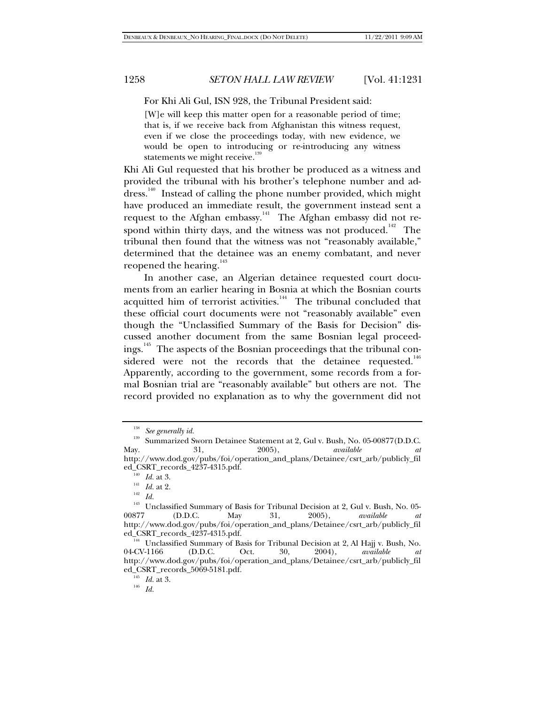For Khi Ali Gul, ISN 928, the Tribunal President said:

[W]e will keep this matter open for a reasonable period of time; that is, if we receive back from Afghanistan this witness request, even if we close the proceedings today, with new evidence, we would be open to introducing or re-introducing any witness statements we might receive.<sup>13</sup>

Khi Ali Gul requested that his brother be produced as a witness and provided the tribunal with his brother's telephone number and address.<sup>140</sup> Instead of calling the phone number provided, which might have produced an immediate result, the government instead sent a request to the Afghan embassy.141 The Afghan embassy did not respond within thirty days, and the witness was not produced.<sup>142</sup> The tribunal then found that the witness was not "reasonably available," determined that the detainee was an enemy combatant, and never reopened the hearing.<sup>143</sup>

In another case, an Algerian detainee requested court documents from an earlier hearing in Bosnia at which the Bosnian courts acquitted him of terrorist activities.<sup>144</sup> The tribunal concluded that these official court documents were not "reasonably available" even though the "Unclassified Summary of the Basis for Decision" discussed another document from the same Bosnian legal proceedings.<sup>145</sup> The aspects of the Bosnian proceedings that the tribunal considered were not the records that the detainee requested.<sup>146</sup> Apparently, according to the government, some records from a formal Bosnian trial are "reasonably available" but others are not. The record provided no explanation as to why the government did not

<sup>138</sup> *See generally id.*

<sup>&</sup>lt;sup>139</sup> Summarized Sworn Detainee Statement at 2, Gul v. Bush, No. 05-00877(D.D.C.<br>Mav. 2005), *available at* May. 31, 2005), *available at*

http://www.dod.gov/pubs/foi/operation\_and\_plans/Detainee/csrt\_arb/publicly\_fil

<sup>&</sup>lt;sup>140</sup> *Id.* at 3.<br><sup>142</sup> *Id. Id.* 142 *Id.* <sup>143</sup> Unclassified Summary of Basis for Tribunal Decision at 2, Gul v. Bush, No. 05-<br>00877 (D.D.C. May 31, 2005), *available at* 00877 (D.D.C. May 31, 2005), *available at* http://www.dod.gov/pubs/foi/operation\_and\_plans/Detainee/csrt\_arb/publicly\_fil ed\_CSRT\_records\_4237-4315.pdf.<br><sup>144</sup> Unclassified Summary of Basis for Tribunal Decision at 2, Al Hajj v. Bush, No.

<sup>04-</sup>CV-1166 (D.D.C. Oct. 30, 2004), *available at* http://www.dod.gov/pubs/foi/operation\_and\_plans/Detainee/csrt\_arb/publicly\_fil ed\_CSRT\_records\_5069-5181.pdf. 145 *Id.* at 3. 146 *Id.*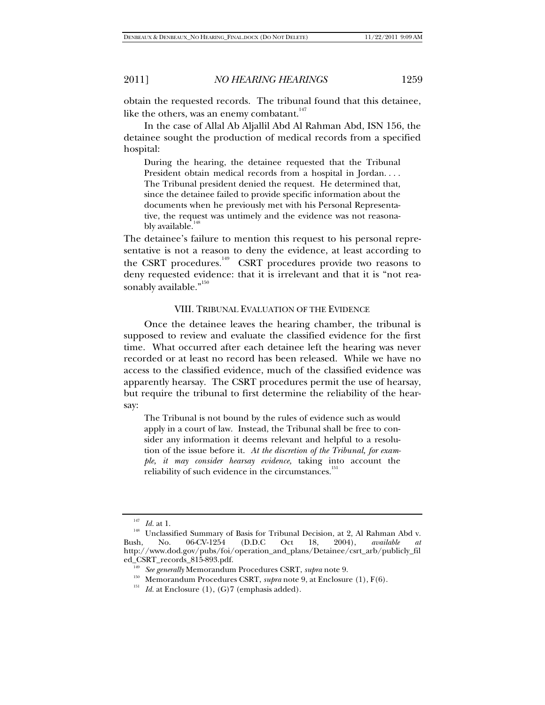obtain the requested records. The tribunal found that this detainee, like the others, was an enemy combatant. $147$ 

In the case of Allal Ab Aljallil Abd Al Rahman Abd, ISN 156, the detainee sought the production of medical records from a specified hospital:

During the hearing, the detainee requested that the Tribunal President obtain medical records from a hospital in Jordan. . . . The Tribunal president denied the request. He determined that, since the detainee failed to provide specific information about the documents when he previously met with his Personal Representative, the request was untimely and the evidence was not reasonably available.<sup>14</sup>

The detainee's failure to mention this request to his personal representative is not a reason to deny the evidence, at least according to the CSRT procedures.<sup>149</sup> CSRT procedures provide two reasons to deny requested evidence: that it is irrelevant and that it is "not reasonably available."<sup>150</sup>

#### VIII. TRIBUNAL EVALUATION OF THE EVIDENCE

Once the detainee leaves the hearing chamber, the tribunal is supposed to review and evaluate the classified evidence for the first time. What occurred after each detainee left the hearing was never recorded or at least no record has been released. While we have no access to the classified evidence, much of the classified evidence was apparently hearsay. The CSRT procedures permit the use of hearsay, but require the tribunal to first determine the reliability of the hearsay:

The Tribunal is not bound by the rules of evidence such as would apply in a court of law. Instead, the Tribunal shall be free to consider any information it deems relevant and helpful to a resolution of the issue before it. *At the discretion of the Tribunal, for example, it may consider hearsay evidence,* taking into account the reliability of such evidence in the circumstances.<sup>15</sup>

<sup>&</sup>lt;sup>147</sup> *Id.* at 1.<br><sup>148</sup> Unclassified Summary of Basis for Tribunal Decision, at 2, Al Rahman Abd v.<br>**Bush, No.** 06-CV-1254 (D.D.C Oct 18, 2004), *available at* Bush, No. 06-CV-1254 (D.D.C Oct 18, 2004), *available at* http://www.dod.gov/pubs/foi/operation\_and\_plans/Detainee/csrt\_arb/publicly\_fil ed\_CSRT\_records\_815-893.pdf.<br>
<sup>149</sup> See generally Memorandum Procedures CSRT, *supra* note 9.<br>
<sup>150</sup> Memorandum Procedures CSRT, *supra* note 9, at Enclosure (1), F(6).<br>
<sup>151</sup> Id. at Enclosure (1), (G)7 (emphasis added).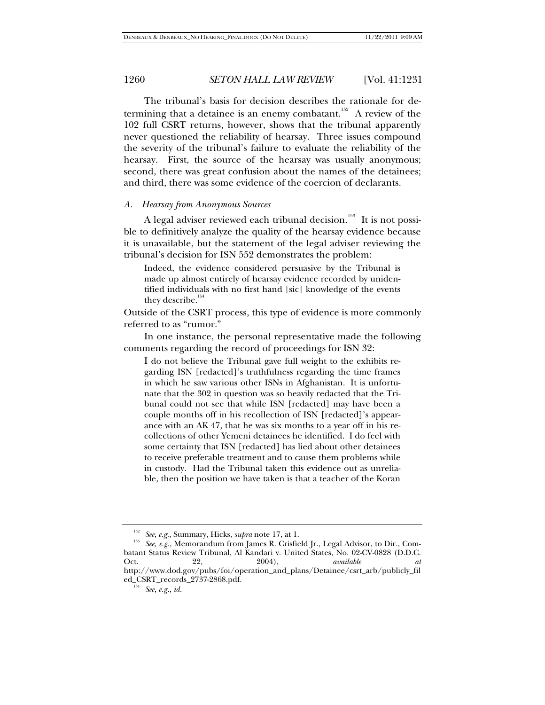The tribunal's basis for decision describes the rationale for determining that a detainee is an enemy combatant.<sup>152</sup> A review of the 102 full CSRT returns, however, shows that the tribunal apparently never questioned the reliability of hearsay. Three issues compound the severity of the tribunal's failure to evaluate the reliability of the hearsay. First, the source of the hearsay was usually anonymous; second, there was great confusion about the names of the detainees; and third, there was some evidence of the coercion of declarants.

#### *A. Hearsay from Anonymous Sources*

A legal adviser reviewed each tribunal decision.<sup>153</sup> It is not possible to definitively analyze the quality of the hearsay evidence because it is unavailable, but the statement of the legal adviser reviewing the tribunal's decision for ISN 552 demonstrates the problem:

Indeed, the evidence considered persuasive by the Tribunal is made up almost entirely of hearsay evidence recorded by unidentified individuals with no first hand [sic] knowledge of the events they describe.<sup>1</sup>

Outside of the CSRT process, this type of evidence is more commonly referred to as "rumor."

In one instance, the personal representative made the following comments regarding the record of proceedings for ISN 32:

I do not believe the Tribunal gave full weight to the exhibits regarding ISN [redacted]'s truthfulness regarding the time frames in which he saw various other ISNs in Afghanistan. It is unfortunate that the 302 in question was so heavily redacted that the Tribunal could not see that while ISN [redacted] may have been a couple months off in his recollection of ISN [redacted]'s appearance with an AK 47, that he was six months to a year off in his recollections of other Yemeni detainees he identified. I do feel with some certainty that ISN [redacted] has lied about other detainees to receive preferable treatment and to cause them problems while in custody. Had the Tribunal taken this evidence out as unreliable, then the position we have taken is that a teacher of the Koran

<sup>&</sup>lt;sup>152</sup> See, e.g., Summary, Hicks, *supra* note 17, at 1.<br><sup>153</sup> See, e.g., Memorandum from James R. Crisfield Jr., Legal Advisor, to Dir., Combatant Status Review Tribunal, Al Kandari v. United States, No. 02-CV-0828 (D.D.C.<br>Oct. 22, 2004), available that Oct. 22, 2004), *available at*  http://www.dod.gov/pubs/foi/operation\_and\_plans/Detainee/csrt\_arb/publicly\_fil ed\_CSRT\_records\_2737-2868.pdf. 154 *See, e.g.*, *id.*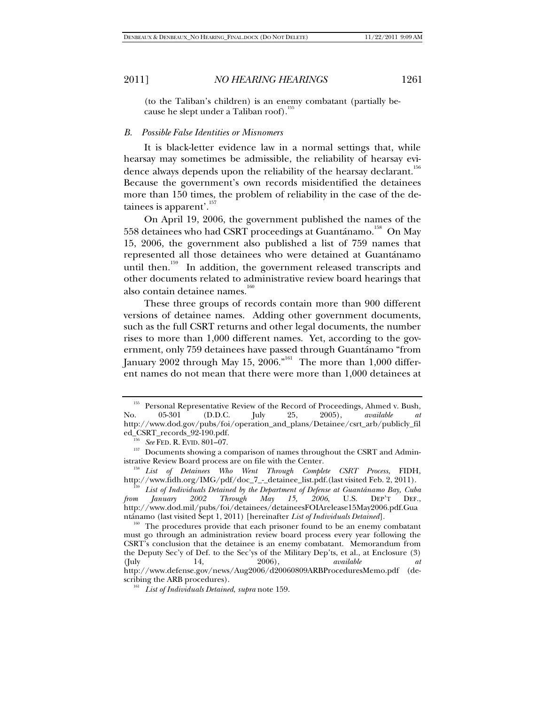(to the Taliban's children) is an enemy combatant (partially because he slept under a Taliban roof).<sup>155</sup>

# *B. Possible False Identities or Misnomers*

It is black-letter evidence law in a normal settings that, while hearsay may sometimes be admissible, the reliability of hearsay evidence always depends upon the reliability of the hearsay declarant.<sup>156</sup> Because the government's own records misidentified the detainees more than 150 times, the problem of reliability in the case of the detainees is apparent'.<sup>157</sup>

On April 19, 2006, the government published the names of the 558 detainees who had CSRT proceedings at Guantánamo.<sup>158</sup> On May 15, 2006, the government also published a list of 759 names that represented all those detainees who were detained at Guantánamo until then.<sup>159</sup> In addition, the government released transcripts and other documents related to administrative review board hearings that also contain detainee names. $160$ 

These three groups of records contain more than 900 different versions of detainee names. Adding other government documents, such as the full CSRT returns and other legal documents, the number rises to more than 1,000 different names. Yet, according to the government, only 759 detainees have passed through Guantánamo "from January 2002 through May 15, 2006."<sup>161</sup> The more than 1,000 different names do not mean that there were more than 1,000 detainees at

Personal Representative Review of the Record of Proceedings, Ahmed v. Bush, 05-301 (D.D.C. [uly 25, 2005), *available at* No. 05-301 (D.D.C. July 25, 2005), *available at* http://www.dod.gov/pubs/foi/operation\_and\_plans/Detainee/csrt\_arb/publicly\_fil

<sup>&</sup>lt;sup>156</sup> See FED. R. EVID. 801–07. 2011–07. 157 Documents showing a comparison of names throughout the CSRT and Admin-

istrative Review Board process are on file with the Center. 158 *List of Detainees Who Went Through Complete CSRT Process*, FIDH,

http://www.fidh.org/IMG/pdf/doc\_7\_-\_detainee\_list.pdf.(last visited Feb. 2, 2011).<br><sup>159</sup> *List of Individuals Detained by the Department of Defense at Guantánamo Bay, Cuba <i>from January* 2002 *Through May 15, 2006*, U.S. D *from January 2002 Through May 15, 2006*, U.S. DEP'T DEF., http://www.dod.mil/pubs/foi/detainees/detaineesFOIArelease15May2006.pdf.Gua

ntánamo (last visited Sept 1, 2011) [hereinafter *List of Individuals Detained*]. 160 The procedures provide that each prisoner found to be an enemy combatant must go through an administration review board process every year following the CSRT's conclusion that the detainee is an enemy combatant. Memorandum from the Deputy Sec'y of Def. to the Sec'ys of the Military Dep'ts, et al., at Enclosure  $(3)$ <br>(July 14, 2006), *available at* (July 14, 2006), *available at* http://www.defense.gov/news/Aug2006/d20060809ARBProceduresMemo.pdf (de-

scribing the ARB procedures). 161 *List of Individuals Detained*, *supra* note 159.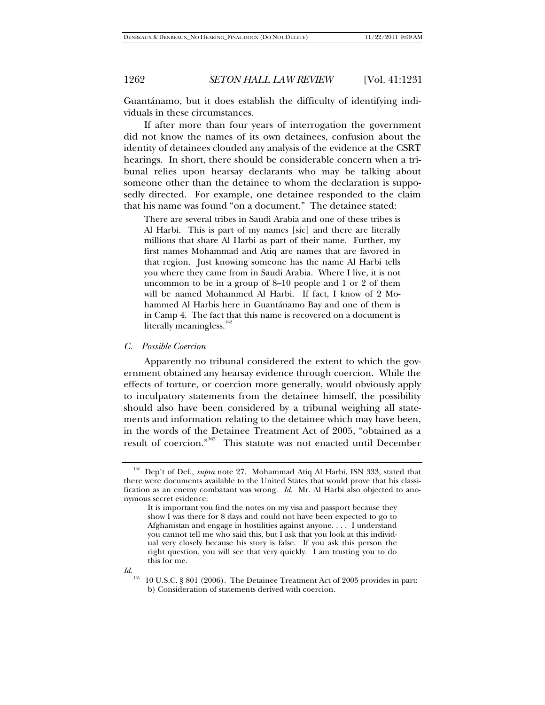Guantánamo, but it does establish the difficulty of identifying individuals in these circumstances.

If after more than four years of interrogation the government did not know the names of its own detainees, confusion about the identity of detainees clouded any analysis of the evidence at the CSRT hearings. In short, there should be considerable concern when a tribunal relies upon hearsay declarants who may be talking about someone other than the detainee to whom the declaration is supposedly directed. For example, one detainee responded to the claim that his name was found "on a document." The detainee stated:

There are several tribes in Saudi Arabia and one of these tribes is Al Harbi. This is part of my names [sic] and there are literally millions that share Al Harbi as part of their name. Further, my first names Mohammad and Atiq are names that are favored in that region. Just knowing someone has the name Al Harbi tells you where they came from in Saudi Arabia. Where I live, it is not uncommon to be in a group of 8–10 people and 1 or 2 of them will be named Mohammed Al Harbi. If fact, I know of 2 Mohammed Al Harbis here in Guantánamo Bay and one of them is in Camp 4. The fact that this name is recovered on a document is literally meaningless.<sup>16</sup>

## *C. Possible Coercion*

Apparently no tribunal considered the extent to which the government obtained any hearsay evidence through coercion. While the effects of torture, or coercion more generally, would obviously apply to inculpatory statements from the detainee himself, the possibility should also have been considered by a tribunal weighing all statements and information relating to the detainee which may have been, in the words of the Detainee Treatment Act of 2005, "obtained as a result of coercion."163 This statute was not enacted until December

It is important you find the notes on my visa and passport because they show I was there for 8 days and could not have been expected to go to Afghanistan and engage in hostilities against anyone. . . . I understand you cannot tell me who said this, but I ask that you look at this individual very closely because his story is false. If you ask this person the right question, you will see that very quickly. I am trusting you to do this for me.



<sup>163 10</sup> U.S.C. § 801 (2006). The Detainee Treatment Act of 2005 provides in part: b) Consideration of statements derived with coercion.

<sup>162</sup> Dep't of Def., *supra* note 27. Mohammad Atiq Al Harbi, ISN 333, stated that there were documents available to the United States that would prove that his classification as an enemy combatant was wrong. *Id.* Mr. Al Harbi also objected to anonymous secret evidence: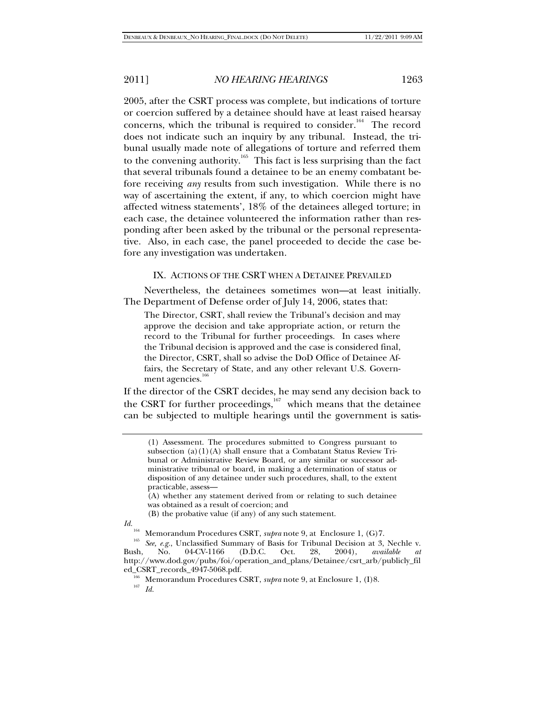2005, after the CSRT process was complete, but indications of torture or coercion suffered by a detainee should have at least raised hearsay concerns, which the tribunal is required to consider.<sup>164</sup> The record does not indicate such an inquiry by any tribunal. Instead, the tribunal usually made note of allegations of torture and referred them to the convening authority.<sup>165</sup> This fact is less surprising than the fact that several tribunals found a detainee to be an enemy combatant before receiving *any* results from such investigation. While there is no way of ascertaining the extent, if any, to which coercion might have affected witness statements', 18% of the detainees alleged torture; in each case, the detainee volunteered the information rather than responding after been asked by the tribunal or the personal representative. Also, in each case, the panel proceeded to decide the case before any investigation was undertaken.

## IX. ACTIONS OF THE CSRT WHEN A DETAINEE PREVAILED

Nevertheless, the detainees sometimes won—at least initially. The Department of Defense order of July 14, 2006, states that:

The Director, CSRT, shall review the Tribunal's decision and may approve the decision and take appropriate action, or return the record to the Tribunal for further proceedings. In cases where the Tribunal decision is approved and the case is considered final, the Director, CSRT, shall so advise the DoD Office of Detainee Affairs, the Secretary of State, and any other relevant U.S. Government agencies.<sup>106</sup>

If the director of the CSRT decides, he may send any decision back to the CSRT for further proceedings,<sup>167</sup> which means that the detainee can be subjected to multiple hearings until the government is satis-

<sup>(1)</sup> Assessment. The procedures submitted to Congress pursuant to subsection  $(a)(1)(A)$  shall ensure that a Combatant Status Review Tribunal or Administrative Review Board, or any similar or successor administrative tribunal or board, in making a determination of status or disposition of any detainee under such procedures, shall, to the extent practicable, assess—

<sup>(</sup>A) whether any statement derived from or relating to such detainee was obtained as a result of coercion; and

<sup>(</sup>B) the probative value (if any) of any such statement.

*Id.*<br><sup>164</sup> Memorandum Procedures CSRT, *supra* note 9, at Enclosure 1, (G)7.

<sup>&</sup>lt;sup>165</sup> See, e.g., Unclassified Summary of Basis for Tribunal Decision at 3, Nechle v.<br>
195 *See, e.g.*, Unclassified Summary of Basis for Tribunal Decision at 3, Nechle v. Bush, No. 04-CV-1166 (D.D.C. Oct. 28, 2004), *available at*  http://www.dod.gov/pubs/foi/operation\_and\_plans/Detainee/csrt\_arb/publicly\_fil ed\_CSRT\_records\_4947-5068.pdf. 166 Memorandum Procedures CSRT, *supra* note 9, at Enclosure 1, (I)8. 167 *Id.*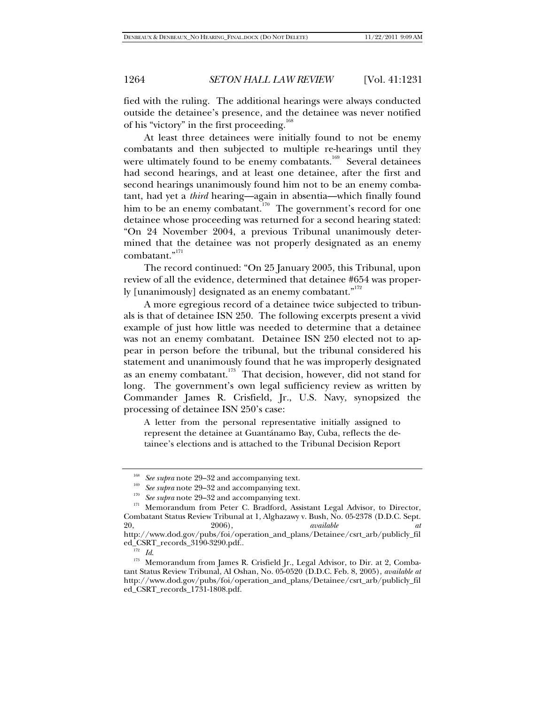fied with the ruling. The additional hearings were always conducted outside the detainee's presence, and the detainee was never notified of his "victory" in the first proceeding.<sup>168</sup>

At least three detainees were initially found to not be enemy combatants and then subjected to multiple re-hearings until they were ultimately found to be enemy combatants.<sup>169</sup> Several detainees had second hearings, and at least one detainee, after the first and second hearings unanimously found him not to be an enemy combatant, had yet a *third* hearing—again in absentia—which finally found him to be an enemy combatant.<sup>170</sup> The government's record for one detainee whose proceeding was returned for a second hearing stated: "On 24 November 2004, a previous Tribunal unanimously determined that the detainee was not properly designated as an enemy combatant."<sup>171</sup>

The record continued: "On 25 January 2005, this Tribunal, upon review of all the evidence, determined that detainee #654 was properly [unanimously] designated as an enemy combatant."<sup>172</sup>

A more egregious record of a detainee twice subjected to tribunals is that of detainee ISN 250. The following excerpts present a vivid example of just how little was needed to determine that a detainee was not an enemy combatant. Detainee ISN 250 elected not to appear in person before the tribunal, but the tribunal considered his statement and unanimously found that he was improperly designated as an enemy combatant. $173 \text{ T}$  That decision, however, did not stand for long. The government's own legal sufficiency review as written by Commander James R. Crisfield, Jr., U.S. Navy, synopsized the processing of detainee ISN 250's case:

A letter from the personal representative initially assigned to represent the detainee at Guantánamo Bay, Cuba, reflects the detainee's elections and is attached to the Tribunal Decision Report

<sup>&</sup>lt;sup>168</sup> *See supra* note 29–32 and accompanying text.<br><sup>169</sup> *See supra* note 29–32 and accompanying text.<br><sup>170</sup> *See supra* note 29–32 and accompanying text.

<sup>&</sup>lt;sup>171</sup> Memorandum from Peter C. Bradford, Assistant Legal Advisor, to Director, Combatant Status Review Tribunal at 1, Alghazawy v. Bush, No. 05-2378 (D.D.C. Sept. 20, 2006), *available at*

http://www.dod.gov/pubs/foi/operation\_and\_plans/Detainee/csrt\_arb/publicly\_fil

<sup>&</sup>lt;sup>172</sup> Id.<br><sup>173</sup> Memorandum from James R. Crisfield Jr., Legal Advisor, to Dir. at 2, Combatant Status Review Tribunal, Al Oshan, No. 05-0520 (D.D.C. Feb. 8, 2005), *available at*  http://www.dod.gov/pubs/foi/operation\_and\_plans/Detainee/csrt\_arb/publicly\_fil ed\_CSRT\_records\_1731-1808.pdf.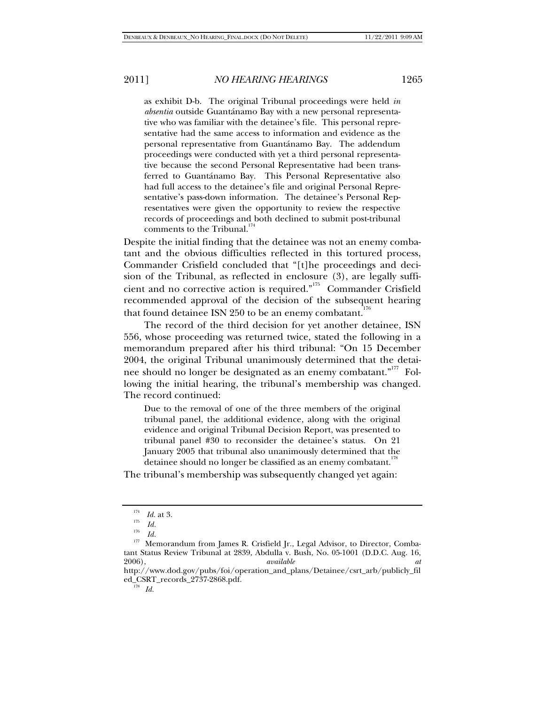as exhibit D-b. The original Tribunal proceedings were held *in absentia* outside Guantánamo Bay with a new personal representative who was familiar with the detainee's file. This personal representative had the same access to information and evidence as the personal representative from Guantánamo Bay. The addendum proceedings were conducted with yet a third personal representative because the second Personal Representative had been transferred to Guantánamo Bay. This Personal Representative also had full access to the detainee's file and original Personal Representative's pass-down information. The detainee's Personal Representatives were given the opportunity to review the respective records of proceedings and both declined to submit post-tribunal comments to the Tribunal.<sup>174</sup>

Despite the initial finding that the detainee was not an enemy combatant and the obvious difficulties reflected in this tortured process, Commander Crisfield concluded that "[t]he proceedings and decision of the Tribunal, as reflected in enclosure (3), are legally sufficient and no corrective action is required. $n^{175}$  Commander Crisfield recommended approval of the decision of the subsequent hearing that found detainee ISN 250 to be an enemy combatant.<sup>176</sup>

The record of the third decision for yet another detainee, ISN 556, whose proceeding was returned twice, stated the following in a memorandum prepared after his third tribunal: "On 15 December 2004, the original Tribunal unanimously determined that the detainee should no longer be designated as an enemy combatant."<sup>177</sup> Following the initial hearing, the tribunal's membership was changed. The record continued:

Due to the removal of one of the three members of the original tribunal panel, the additional evidence, along with the original evidence and original Tribunal Decision Report, was presented to tribunal panel #30 to reconsider the detainee's status. On 21 January 2005 that tribunal also unanimously determined that the detainee should no longer be classified as an enemy combatant.<sup>118</sup>

The tribunal's membership was subsequently changed yet again:

<sup>&</sup>lt;sup>174</sup> *Id.* at 3.<br><sup>175</sup> *Id.*<br><sup>176</sup> *IJ* 

<sup>1&</sup>lt;sup>76</sup> *Id.*<br><sup>177</sup> Memorandum from James R. Crisfield Jr., Legal Advisor, to Director, Combatant Status Review Tribunal at 2839, Abdulla v. Bush, No. 05-1001 (D.D.C. Aug. 16, 2006).<br>available dt 2006), *available at*

http://www.dod.gov/pubs/foi/operation\_and\_plans/Detainee/csrt\_arb/publicly\_fil ed\_CSRT\_records\_2737-2868.pdf. 178 *Id.*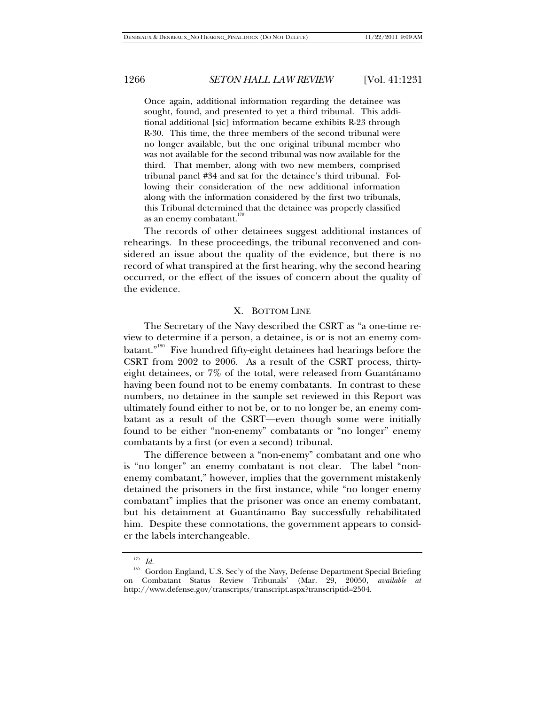Once again, additional information regarding the detainee was sought, found, and presented to yet a third tribunal. This additional additional [sic] information became exhibits R-23 through R-30. This time, the three members of the second tribunal were no longer available, but the one original tribunal member who was not available for the second tribunal was now available for the third. That member, along with two new members, comprised tribunal panel #34 and sat for the detainee's third tribunal. Following their consideration of the new additional information along with the information considered by the first two tribunals, this Tribunal determined that the detainee was properly classified as an enemy combatant.

The records of other detainees suggest additional instances of rehearings. In these proceedings, the tribunal reconvened and considered an issue about the quality of the evidence, but there is no record of what transpired at the first hearing, why the second hearing occurred, or the effect of the issues of concern about the quality of the evidence.

### X. BOTTOM LINE

The Secretary of the Navy described the CSRT as "a one-time review to determine if a person, a detainee, is or is not an enemy combatant."<sup>180</sup> Five hundred fifty-eight detainees had hearings before the CSRT from 2002 to 2006. As a result of the CSRT process, thirtyeight detainees, or 7% of the total, were released from Guantánamo having been found not to be enemy combatants. In contrast to these numbers, no detainee in the sample set reviewed in this Report was ultimately found either to not be, or to no longer be, an enemy combatant as a result of the CSRT—even though some were initially found to be either "non-enemy" combatants or "no longer" enemy combatants by a first (or even a second) tribunal.

The difference between a "non-enemy" combatant and one who is "no longer" an enemy combatant is not clear. The label "nonenemy combatant," however, implies that the government mistakenly detained the prisoners in the first instance, while "no longer enemy combatant" implies that the prisoner was once an enemy combatant, but his detainment at Guantánamo Bay successfully rehabilitated him. Despite these connotations, the government appears to consider the labels interchangeable.

<sup>179</sup> *Id.*

<sup>180</sup> Gordon England, U.S. Sec'y of the Navy, Defense Department Special Briefing on Combatant Status Review Tribunals' (Mar. 29, 20050, *available at*  http://www.defense.gov/transcripts/transcript.aspx?transcriptid=2504.